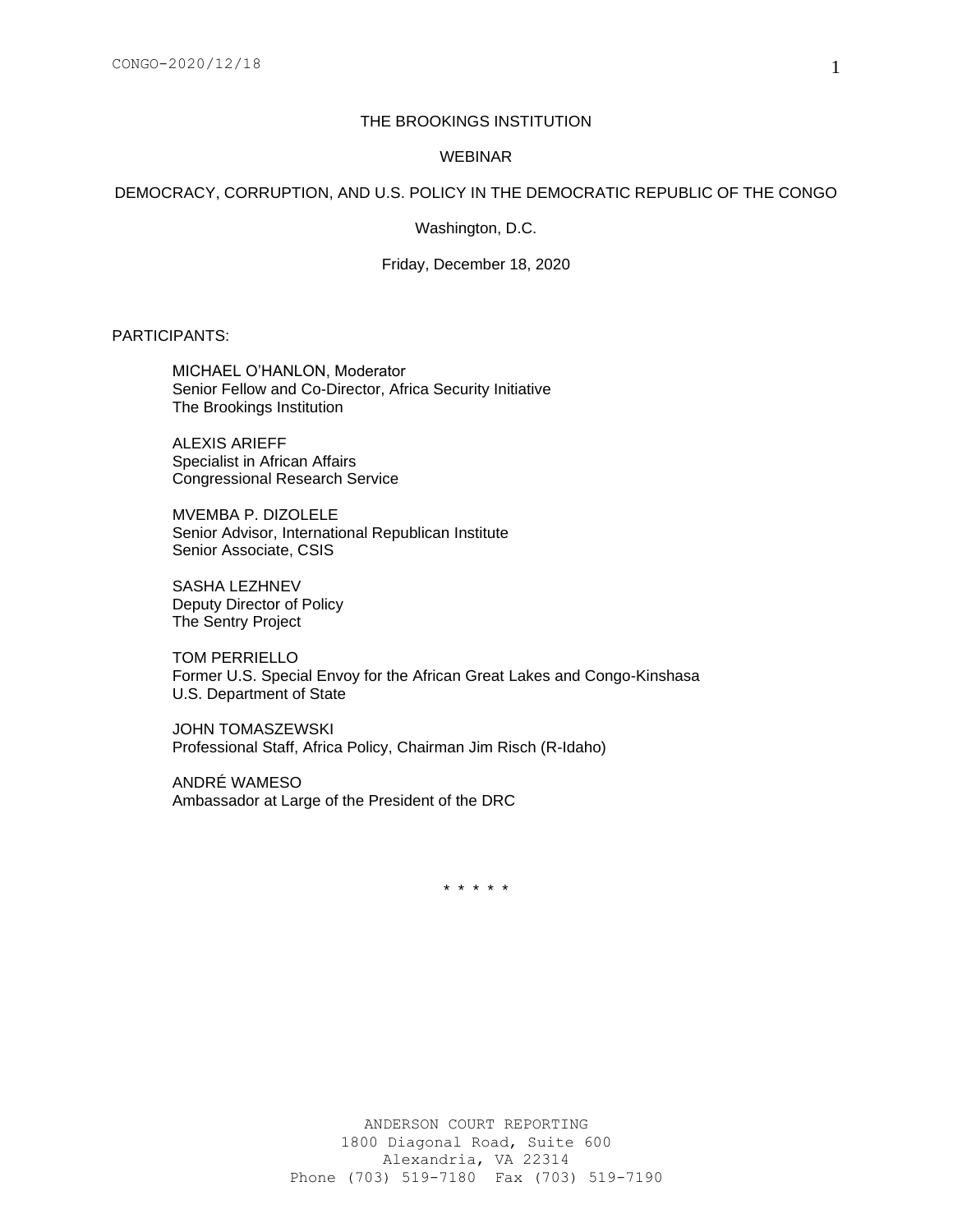# THE BROOKINGS INSTITUTION

#### WEBINAR

## DEMOCRACY, CORRUPTION, AND U.S. POLICY IN THE DEMOCRATIC REPUBLIC OF THE CONGO

Washington, D.C.

Friday, December 18, 2020

PARTICIPANTS:

MICHAEL O'HANLON, Moderator Senior Fellow and Co-Director, Africa Security Initiative The Brookings Institution

ALEXIS ARIEFF Specialist in African Affairs Congressional Research Service

MVEMBA P. DIZOLELE Senior Advisor, International Republican Institute Senior Associate, CSIS

SASHA LEZHNEV Deputy Director of Policy The Sentry Project

TOM PERRIELLO Former U.S. Special Envoy for the African Great Lakes and Congo-Kinshasa U.S. Department of State

JOHN TOMASZEWSKI Professional Staff, Africa Policy, Chairman Jim Risch (R-Idaho)

ANDRÉ WAMESO Ambassador at Large of the President of the DRC

\* \* \* \* \*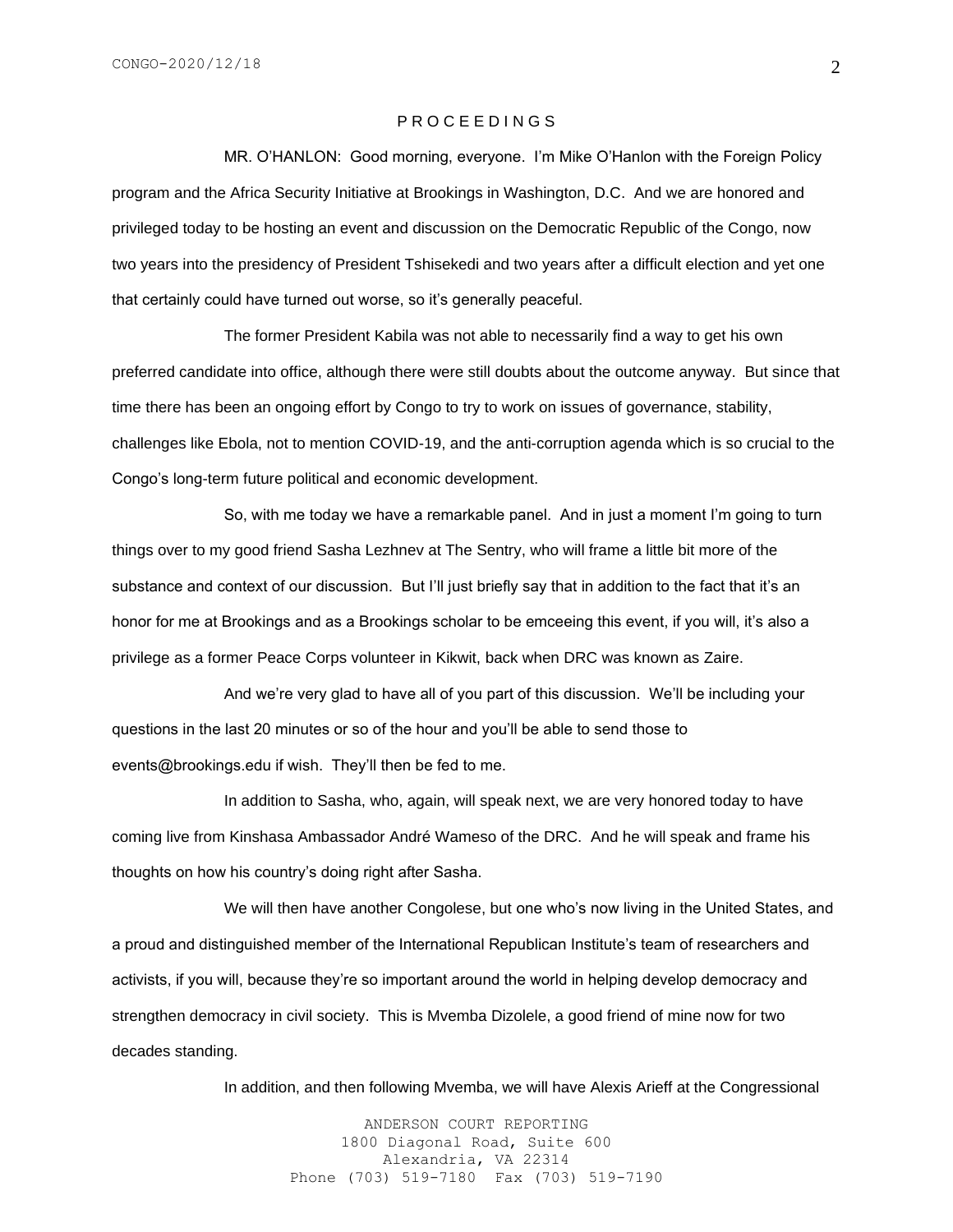# P R O C E E D I N G S

MR. O'HANLON: Good morning, everyone. I'm Mike O'Hanlon with the Foreign Policy program and the Africa Security Initiative at Brookings in Washington, D.C. And we are honored and privileged today to be hosting an event and discussion on the Democratic Republic of the Congo, now two years into the presidency of President Tshisekedi and two years after a difficult election and yet one that certainly could have turned out worse, so it's generally peaceful.

The former President Kabila was not able to necessarily find a way to get his own preferred candidate into office, although there were still doubts about the outcome anyway. But since that time there has been an ongoing effort by Congo to try to work on issues of governance, stability, challenges like Ebola, not to mention COVID-19, and the anti-corruption agenda which is so crucial to the Congo's long-term future political and economic development.

So, with me today we have a remarkable panel. And in just a moment I'm going to turn things over to my good friend Sasha Lezhnev at The Sentry, who will frame a little bit more of the substance and context of our discussion. But I'll just briefly say that in addition to the fact that it's an honor for me at Brookings and as a Brookings scholar to be emceeing this event, if you will, it's also a privilege as a former Peace Corps volunteer in Kikwit, back when DRC was known as Zaire.

And we're very glad to have all of you part of this discussion. We'll be including your questions in the last 20 minutes or so of the hour and you'll be able to send those to events@brookings.edu if wish. They'll then be fed to me.

In addition to Sasha, who, again, will speak next, we are very honored today to have coming live from Kinshasa Ambassador André Wameso of the DRC. And he will speak and frame his thoughts on how his country's doing right after Sasha.

We will then have another Congolese, but one who's now living in the United States, and a proud and distinguished member of the International Republican Institute's team of researchers and activists, if you will, because they're so important around the world in helping develop democracy and strengthen democracy in civil society. This is Mvemba Dizolele, a good friend of mine now for two decades standing.

In addition, and then following Mvemba, we will have Alexis Arieff at the Congressional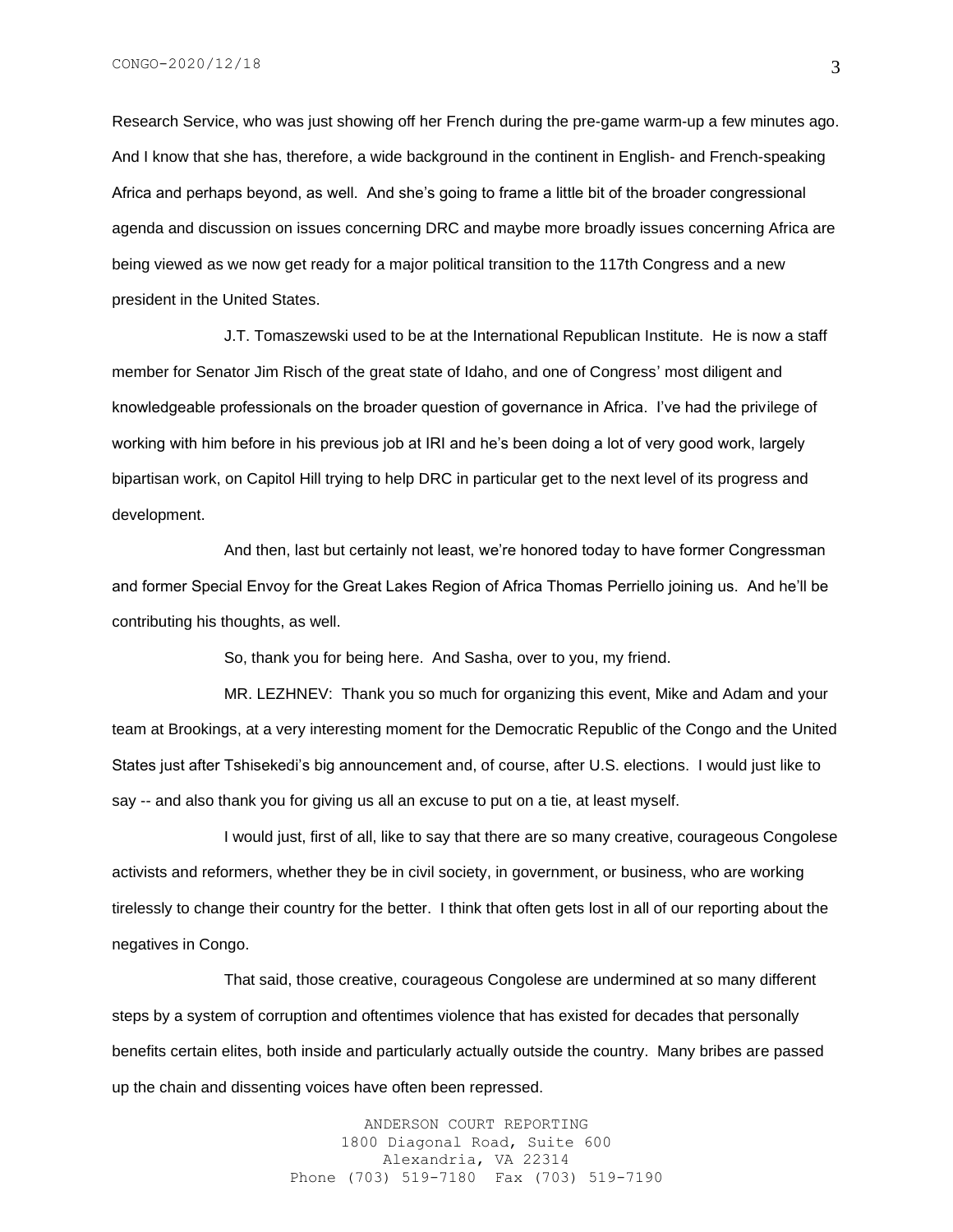Research Service, who was just showing off her French during the pre-game warm-up a few minutes ago. And I know that she has, therefore, a wide background in the continent in English- and French-speaking Africa and perhaps beyond, as well. And she's going to frame a little bit of the broader congressional agenda and discussion on issues concerning DRC and maybe more broadly issues concerning Africa are being viewed as we now get ready for a major political transition to the 117th Congress and a new president in the United States.

J.T. Tomaszewski used to be at the International Republican Institute. He is now a staff member for Senator Jim Risch of the great state of Idaho, and one of Congress' most diligent and knowledgeable professionals on the broader question of governance in Africa. I've had the privilege of working with him before in his previous job at IRI and he's been doing a lot of very good work, largely bipartisan work, on Capitol Hill trying to help DRC in particular get to the next level of its progress and development.

And then, last but certainly not least, we're honored today to have former Congressman and former Special Envoy for the Great Lakes Region of Africa Thomas Perriello joining us. And he'll be contributing his thoughts, as well.

So, thank you for being here. And Sasha, over to you, my friend.

MR. LEZHNEV: Thank you so much for organizing this event, Mike and Adam and your team at Brookings, at a very interesting moment for the Democratic Republic of the Congo and the United States just after Tshisekedi's big announcement and, of course, after U.S. elections. I would just like to say -- and also thank you for giving us all an excuse to put on a tie, at least myself.

I would just, first of all, like to say that there are so many creative, courageous Congolese activists and reformers, whether they be in civil society, in government, or business, who are working tirelessly to change their country for the better. I think that often gets lost in all of our reporting about the negatives in Congo.

That said, those creative, courageous Congolese are undermined at so many different steps by a system of corruption and oftentimes violence that has existed for decades that personally benefits certain elites, both inside and particularly actually outside the country. Many bribes are passed up the chain and dissenting voices have often been repressed.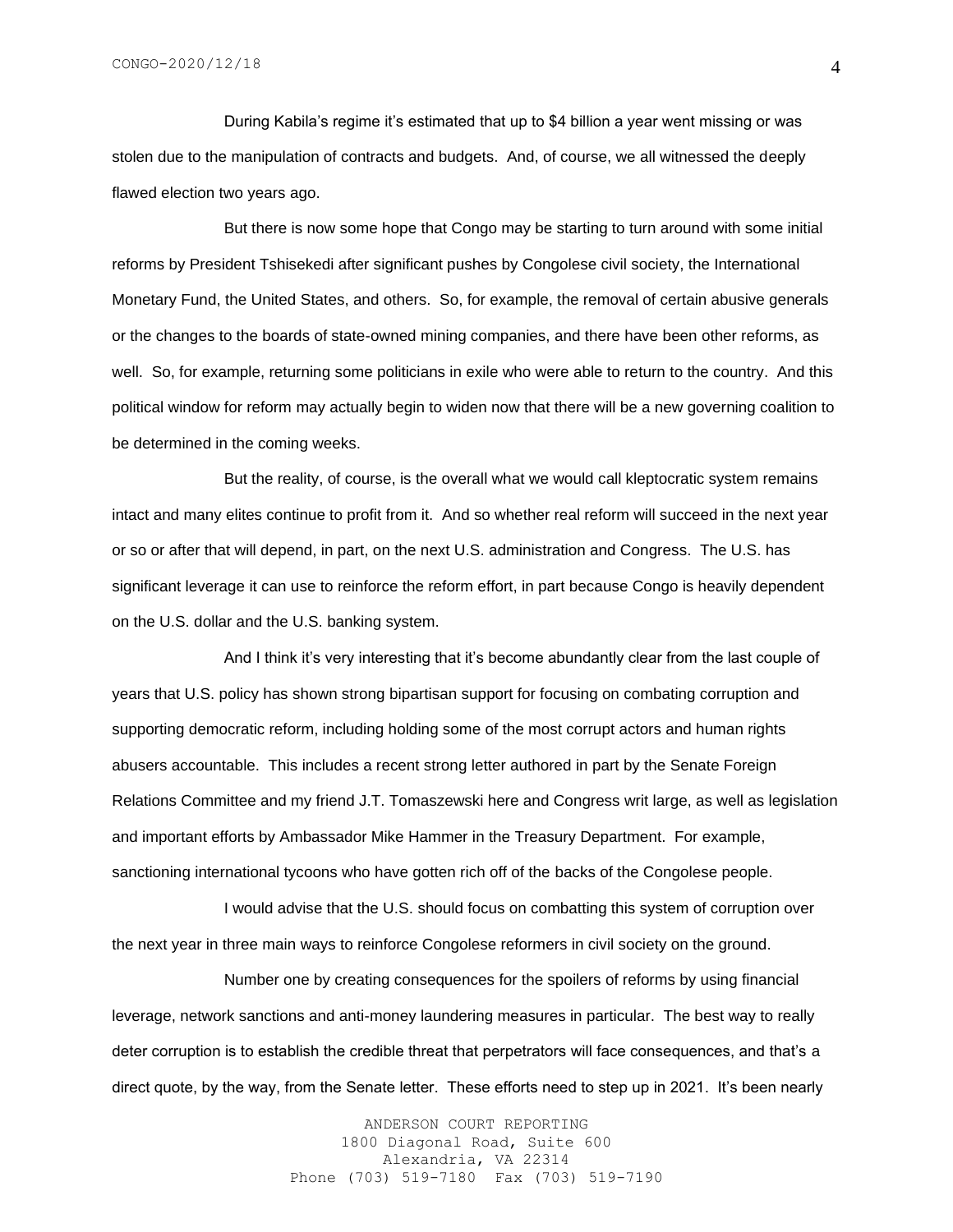During Kabila's regime it's estimated that up to \$4 billion a year went missing or was stolen due to the manipulation of contracts and budgets. And, of course, we all witnessed the deeply flawed election two years ago.

But there is now some hope that Congo may be starting to turn around with some initial reforms by President Tshisekedi after significant pushes by Congolese civil society, the International Monetary Fund, the United States, and others. So, for example, the removal of certain abusive generals or the changes to the boards of state-owned mining companies, and there have been other reforms, as well. So, for example, returning some politicians in exile who were able to return to the country. And this political window for reform may actually begin to widen now that there will be a new governing coalition to be determined in the coming weeks.

But the reality, of course, is the overall what we would call kleptocratic system remains intact and many elites continue to profit from it. And so whether real reform will succeed in the next year or so or after that will depend, in part, on the next U.S. administration and Congress. The U.S. has significant leverage it can use to reinforce the reform effort, in part because Congo is heavily dependent on the U.S. dollar and the U.S. banking system.

And I think it's very interesting that it's become abundantly clear from the last couple of years that U.S. policy has shown strong bipartisan support for focusing on combating corruption and supporting democratic reform, including holding some of the most corrupt actors and human rights abusers accountable. This includes a recent strong letter authored in part by the Senate Foreign Relations Committee and my friend J.T. Tomaszewski here and Congress writ large, as well as legislation and important efforts by Ambassador Mike Hammer in the Treasury Department. For example, sanctioning international tycoons who have gotten rich off of the backs of the Congolese people.

I would advise that the U.S. should focus on combatting this system of corruption over the next year in three main ways to reinforce Congolese reformers in civil society on the ground.

Number one by creating consequences for the spoilers of reforms by using financial leverage, network sanctions and anti-money laundering measures in particular. The best way to really deter corruption is to establish the credible threat that perpetrators will face consequences, and that's a direct quote, by the way, from the Senate letter. These efforts need to step up in 2021. It's been nearly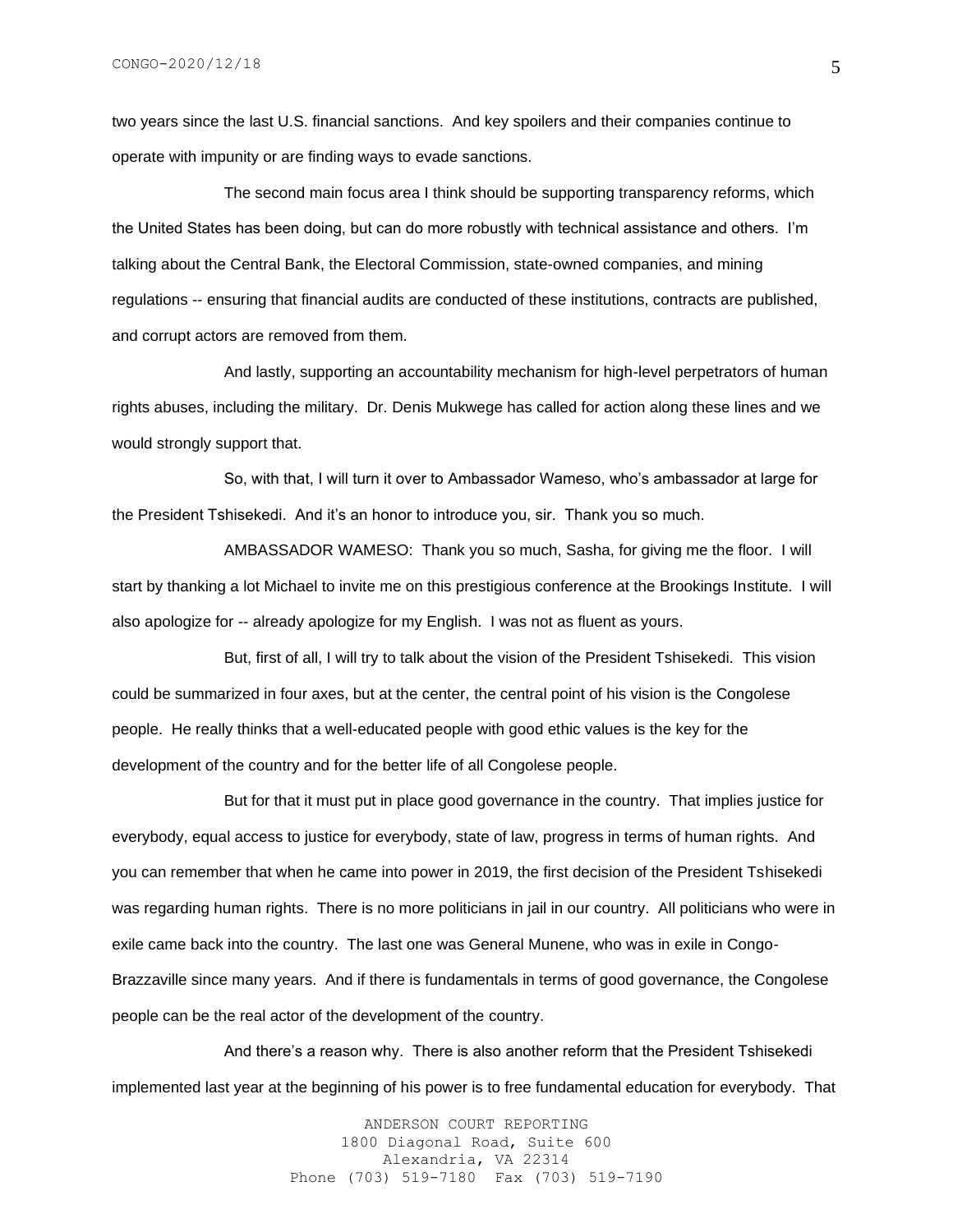two years since the last U.S. financial sanctions. And key spoilers and their companies continue to operate with impunity or are finding ways to evade sanctions.

The second main focus area I think should be supporting transparency reforms, which the United States has been doing, but can do more robustly with technical assistance and others. I'm talking about the Central Bank, the Electoral Commission, state-owned companies, and mining regulations -- ensuring that financial audits are conducted of these institutions, contracts are published, and corrupt actors are removed from them.

And lastly, supporting an accountability mechanism for high-level perpetrators of human rights abuses, including the military. Dr. Denis Mukwege has called for action along these lines and we would strongly support that.

So, with that, I will turn it over to Ambassador Wameso, who's ambassador at large for the President Tshisekedi. And it's an honor to introduce you, sir. Thank you so much.

AMBASSADOR WAMESO: Thank you so much, Sasha, for giving me the floor. I will start by thanking a lot Michael to invite me on this prestigious conference at the Brookings Institute. I will also apologize for -- already apologize for my English. I was not as fluent as yours.

But, first of all, I will try to talk about the vision of the President Tshisekedi. This vision could be summarized in four axes, but at the center, the central point of his vision is the Congolese people. He really thinks that a well-educated people with good ethic values is the key for the development of the country and for the better life of all Congolese people.

But for that it must put in place good governance in the country. That implies justice for everybody, equal access to justice for everybody, state of law, progress in terms of human rights. And you can remember that when he came into power in 2019, the first decision of the President Tshisekedi was regarding human rights. There is no more politicians in jail in our country. All politicians who were in exile came back into the country. The last one was General Munene, who was in exile in Congo-Brazzaville since many years. And if there is fundamentals in terms of good governance, the Congolese people can be the real actor of the development of the country.

And there's a reason why. There is also another reform that the President Tshisekedi implemented last year at the beginning of his power is to free fundamental education for everybody. That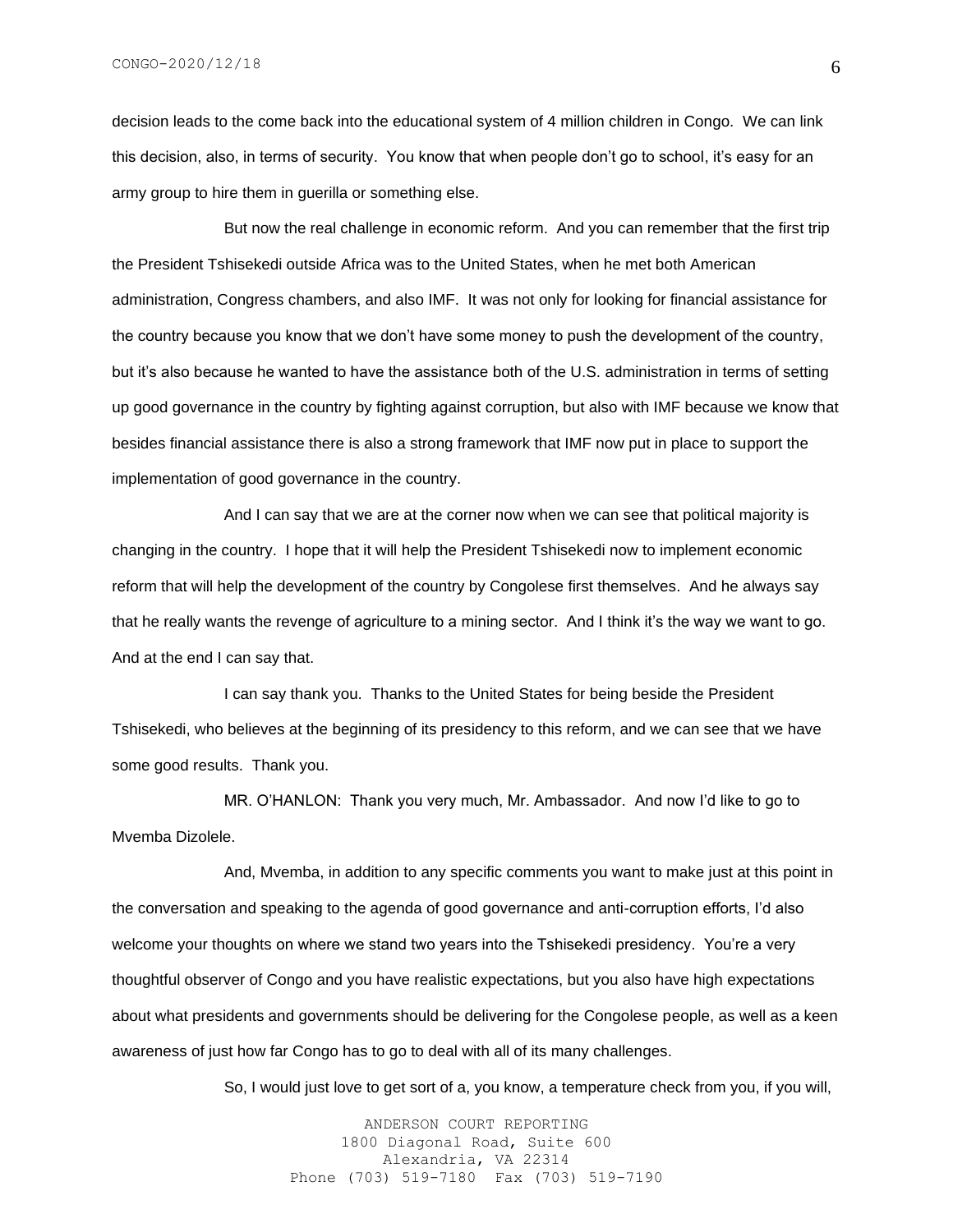decision leads to the come back into the educational system of 4 million children in Congo. We can link this decision, also, in terms of security. You know that when people don't go to school, it's easy for an army group to hire them in guerilla or something else.

But now the real challenge in economic reform. And you can remember that the first trip the President Tshisekedi outside Africa was to the United States, when he met both American administration, Congress chambers, and also IMF. It was not only for looking for financial assistance for the country because you know that we don't have some money to push the development of the country, but it's also because he wanted to have the assistance both of the U.S. administration in terms of setting up good governance in the country by fighting against corruption, but also with IMF because we know that besides financial assistance there is also a strong framework that IMF now put in place to support the implementation of good governance in the country.

And I can say that we are at the corner now when we can see that political majority is changing in the country. I hope that it will help the President Tshisekedi now to implement economic reform that will help the development of the country by Congolese first themselves. And he always say that he really wants the revenge of agriculture to a mining sector. And I think it's the way we want to go. And at the end I can say that.

I can say thank you. Thanks to the United States for being beside the President Tshisekedi, who believes at the beginning of its presidency to this reform, and we can see that we have some good results. Thank you.

MR. O'HANLON: Thank you very much, Mr. Ambassador. And now I'd like to go to Mvemba Dizolele.

And, Mvemba, in addition to any specific comments you want to make just at this point in the conversation and speaking to the agenda of good governance and anti-corruption efforts, I'd also welcome your thoughts on where we stand two years into the Tshisekedi presidency. You're a very thoughtful observer of Congo and you have realistic expectations, but you also have high expectations about what presidents and governments should be delivering for the Congolese people, as well as a keen awareness of just how far Congo has to go to deal with all of its many challenges.

So, I would just love to get sort of a, you know, a temperature check from you, if you will,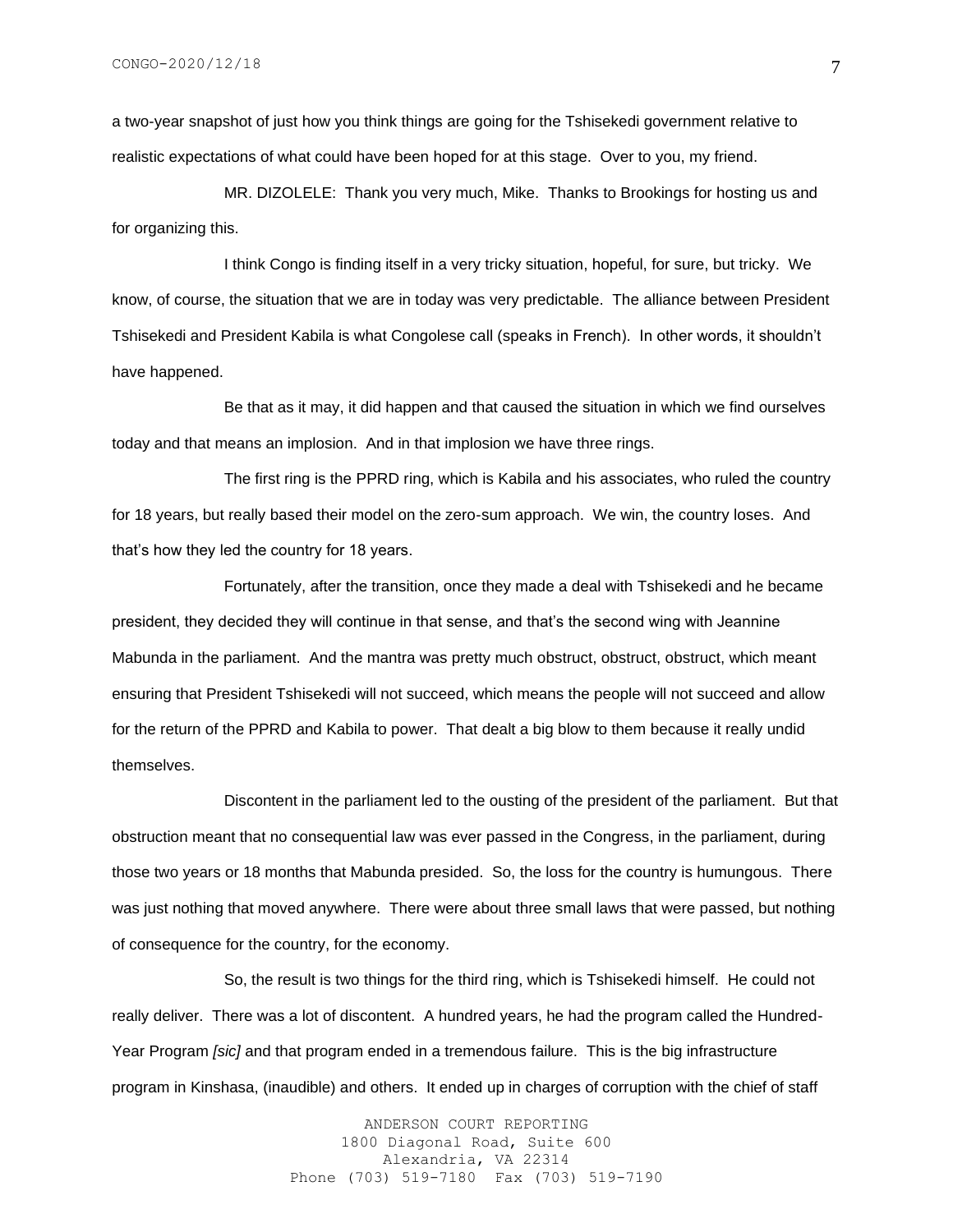a two-year snapshot of just how you think things are going for the Tshisekedi government relative to realistic expectations of what could have been hoped for at this stage. Over to you, my friend.

MR. DIZOLELE: Thank you very much, Mike. Thanks to Brookings for hosting us and for organizing this.

I think Congo is finding itself in a very tricky situation, hopeful, for sure, but tricky. We know, of course, the situation that we are in today was very predictable. The alliance between President Tshisekedi and President Kabila is what Congolese call (speaks in French). In other words, it shouldn't have happened.

Be that as it may, it did happen and that caused the situation in which we find ourselves today and that means an implosion. And in that implosion we have three rings.

The first ring is the PPRD ring, which is Kabila and his associates, who ruled the country for 18 years, but really based their model on the zero-sum approach. We win, the country loses. And that's how they led the country for 18 years.

Fortunately, after the transition, once they made a deal with Tshisekedi and he became president, they decided they will continue in that sense, and that's the second wing with Jeannine Mabunda in the parliament. And the mantra was pretty much obstruct, obstruct, obstruct, which meant ensuring that President Tshisekedi will not succeed, which means the people will not succeed and allow for the return of the PPRD and Kabila to power. That dealt a big blow to them because it really undid themselves.

Discontent in the parliament led to the ousting of the president of the parliament. But that obstruction meant that no consequential law was ever passed in the Congress, in the parliament, during those two years or 18 months that Mabunda presided. So, the loss for the country is humungous. There was just nothing that moved anywhere. There were about three small laws that were passed, but nothing of consequence for the country, for the economy.

So, the result is two things for the third ring, which is Tshisekedi himself. He could not really deliver. There was a lot of discontent. A hundred years, he had the program called the Hundred-Year Program *[sic]* and that program ended in a tremendous failure. This is the big infrastructure program in Kinshasa, (inaudible) and others. It ended up in charges of corruption with the chief of staff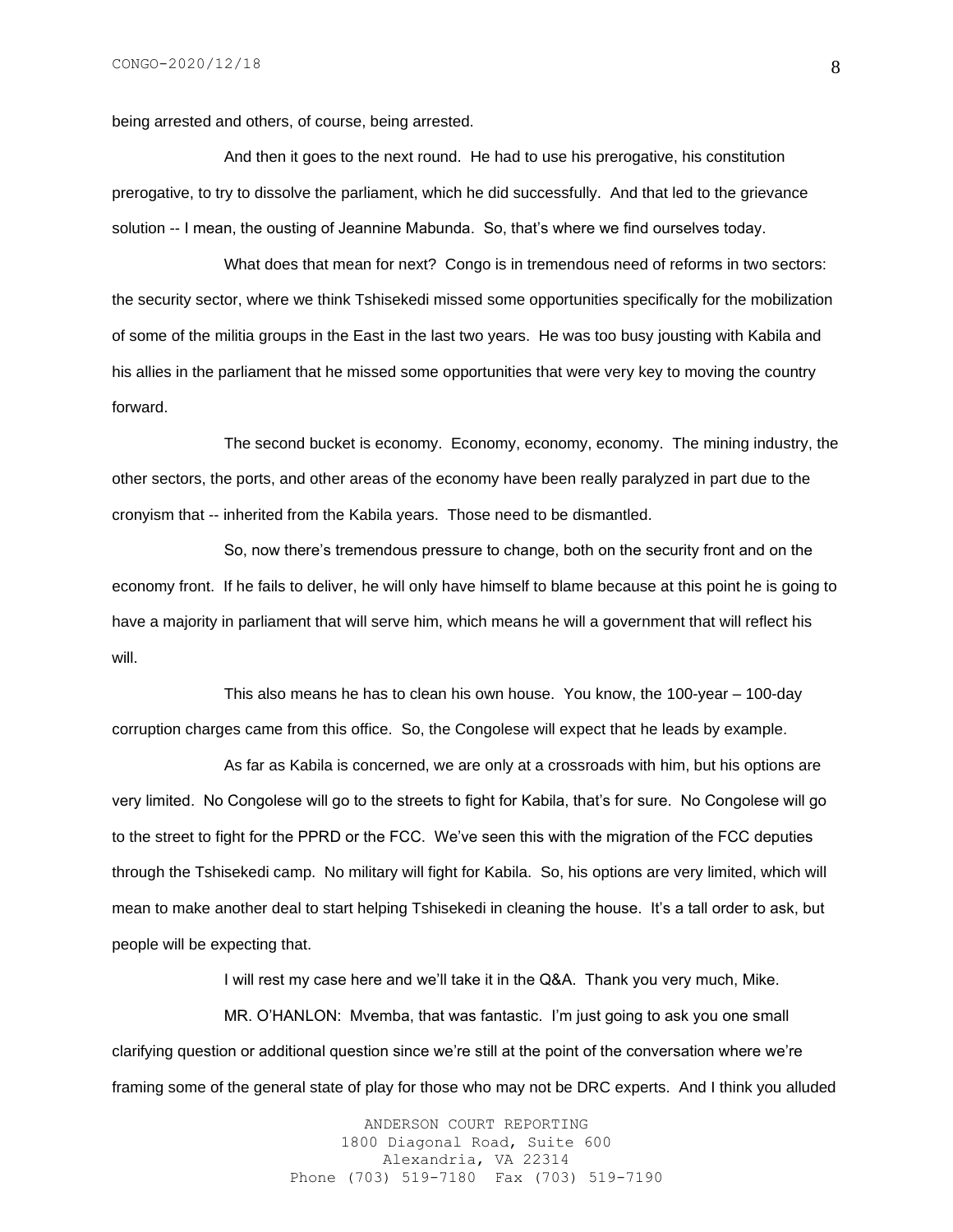being arrested and others, of course, being arrested.

And then it goes to the next round. He had to use his prerogative, his constitution prerogative, to try to dissolve the parliament, which he did successfully. And that led to the grievance solution -- I mean, the ousting of Jeannine Mabunda. So, that's where we find ourselves today.

What does that mean for next? Congo is in tremendous need of reforms in two sectors: the security sector, where we think Tshisekedi missed some opportunities specifically for the mobilization of some of the militia groups in the East in the last two years. He was too busy jousting with Kabila and his allies in the parliament that he missed some opportunities that were very key to moving the country forward.

The second bucket is economy. Economy, economy, economy. The mining industry, the other sectors, the ports, and other areas of the economy have been really paralyzed in part due to the cronyism that -- inherited from the Kabila years. Those need to be dismantled.

So, now there's tremendous pressure to change, both on the security front and on the economy front. If he fails to deliver, he will only have himself to blame because at this point he is going to have a majority in parliament that will serve him, which means he will a government that will reflect his will.

This also means he has to clean his own house. You know, the 100-year – 100-day corruption charges came from this office. So, the Congolese will expect that he leads by example.

As far as Kabila is concerned, we are only at a crossroads with him, but his options are very limited. No Congolese will go to the streets to fight for Kabila, that's for sure. No Congolese will go to the street to fight for the PPRD or the FCC. We've seen this with the migration of the FCC deputies through the Tshisekedi camp. No military will fight for Kabila. So, his options are very limited, which will mean to make another deal to start helping Tshisekedi in cleaning the house. It's a tall order to ask, but people will be expecting that.

I will rest my case here and we'll take it in the Q&A. Thank you very much, Mike.

MR. O'HANLON: Mvemba, that was fantastic. I'm just going to ask you one small clarifying question or additional question since we're still at the point of the conversation where we're framing some of the general state of play for those who may not be DRC experts. And I think you alluded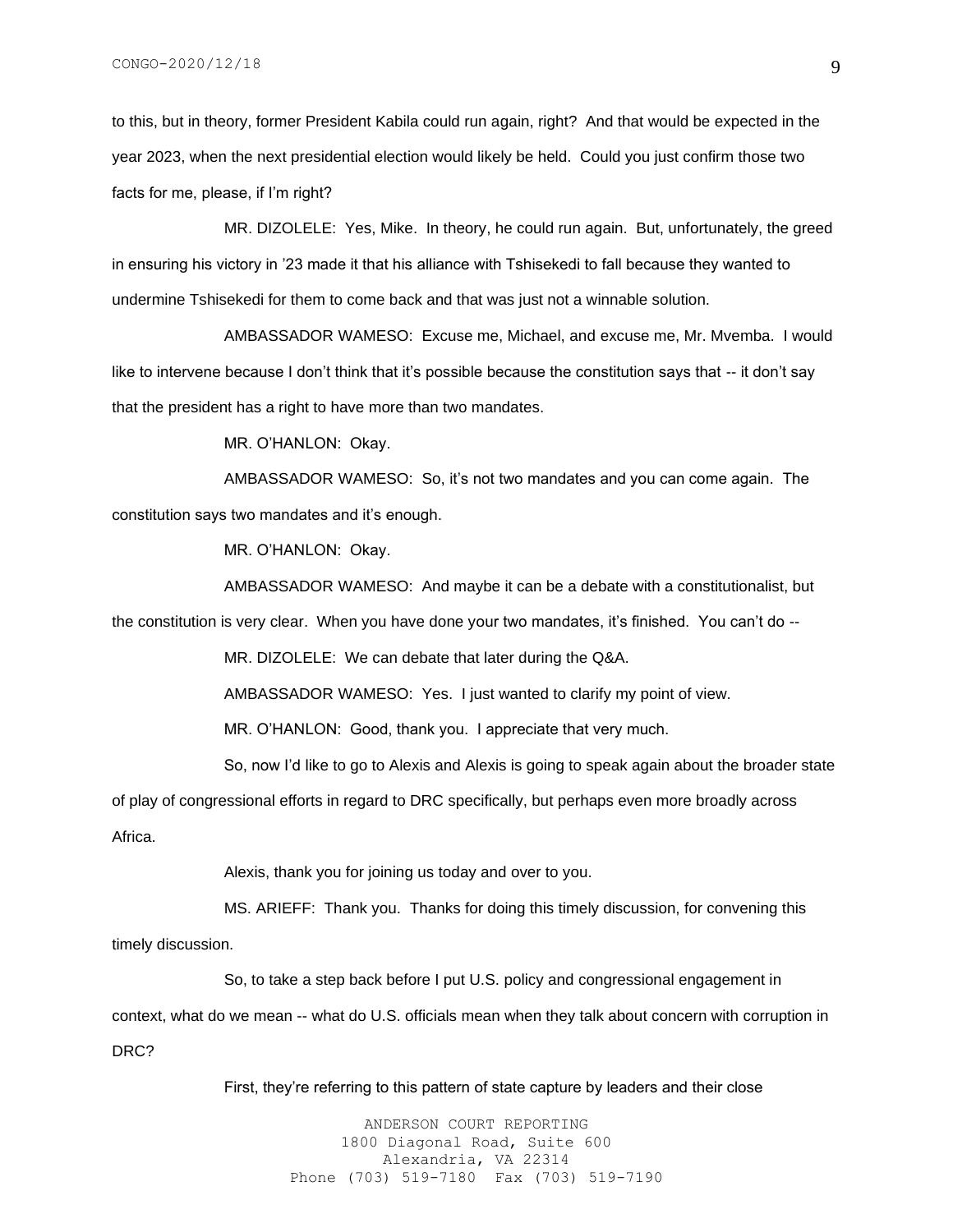to this, but in theory, former President Kabila could run again, right? And that would be expected in the year 2023, when the next presidential election would likely be held. Could you just confirm those two facts for me, please, if I'm right?

MR. DIZOLELE: Yes, Mike. In theory, he could run again. But, unfortunately, the greed in ensuring his victory in '23 made it that his alliance with Tshisekedi to fall because they wanted to undermine Tshisekedi for them to come back and that was just not a winnable solution.

AMBASSADOR WAMESO: Excuse me, Michael, and excuse me, Mr. Mvemba. I would like to intervene because I don't think that it's possible because the constitution says that -- it don't say that the president has a right to have more than two mandates.

MR. O'HANLON: Okay.

AMBASSADOR WAMESO: So, it's not two mandates and you can come again. The constitution says two mandates and it's enough.

MR. O'HANLON: Okay.

AMBASSADOR WAMESO: And maybe it can be a debate with a constitutionalist, but

the constitution is very clear. When you have done your two mandates, it's finished. You can't do --

MR. DIZOLELE: We can debate that later during the Q&A.

AMBASSADOR WAMESO: Yes. I just wanted to clarify my point of view.

MR. O'HANLON: Good, thank you. I appreciate that very much.

So, now I'd like to go to Alexis and Alexis is going to speak again about the broader state

of play of congressional efforts in regard to DRC specifically, but perhaps even more broadly across Africa.

Alexis, thank you for joining us today and over to you.

MS. ARIEFF: Thank you. Thanks for doing this timely discussion, for convening this timely discussion.

So, to take a step back before I put U.S. policy and congressional engagement in context, what do we mean -- what do U.S. officials mean when they talk about concern with corruption in DRC?

First, they're referring to this pattern of state capture by leaders and their close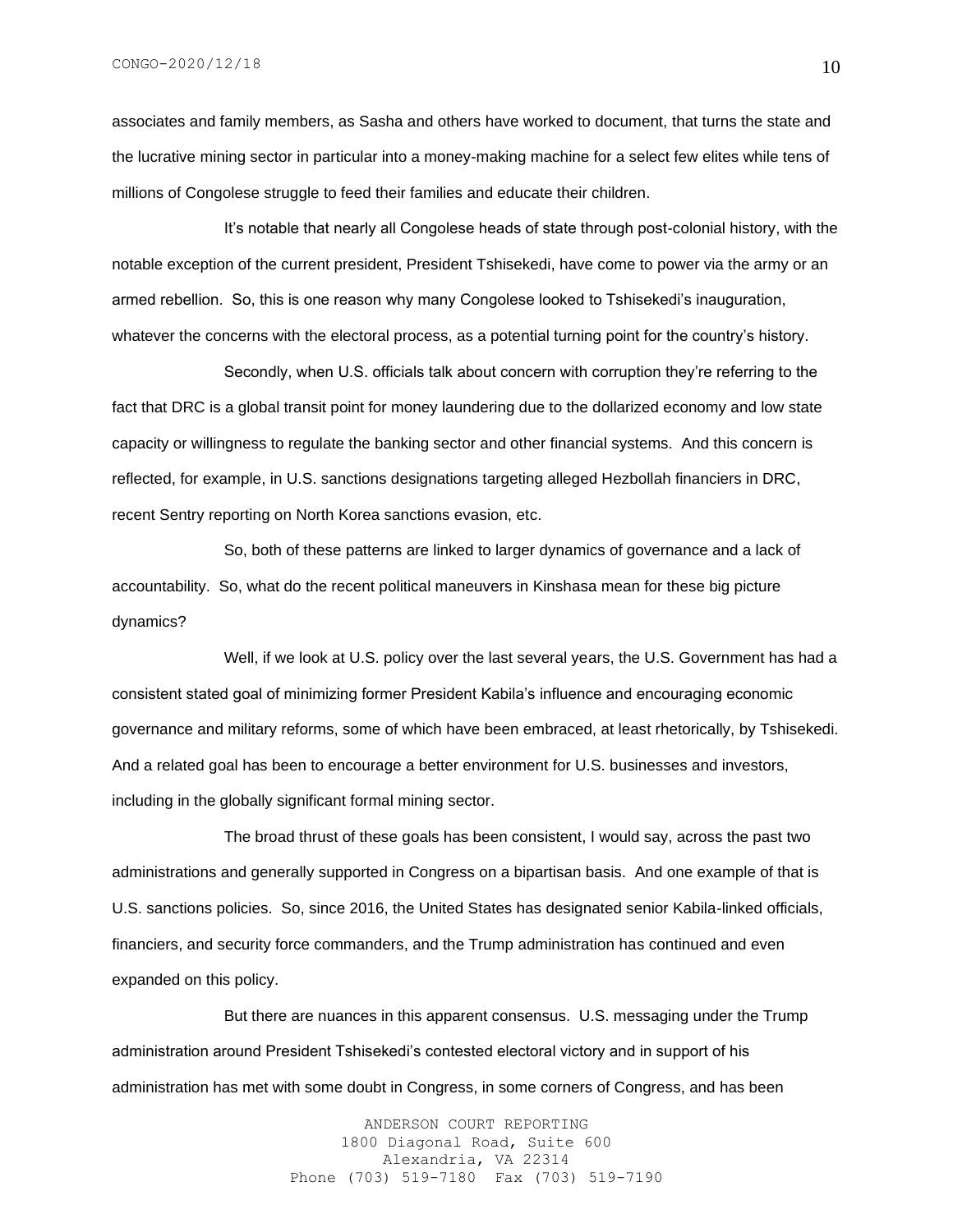associates and family members, as Sasha and others have worked to document, that turns the state and the lucrative mining sector in particular into a money-making machine for a select few elites while tens of millions of Congolese struggle to feed their families and educate their children.

It's notable that nearly all Congolese heads of state through post-colonial history, with the notable exception of the current president, President Tshisekedi, have come to power via the army or an armed rebellion. So, this is one reason why many Congolese looked to Tshisekedi's inauguration, whatever the concerns with the electoral process, as a potential turning point for the country's history.

Secondly, when U.S. officials talk about concern with corruption they're referring to the fact that DRC is a global transit point for money laundering due to the dollarized economy and low state capacity or willingness to regulate the banking sector and other financial systems. And this concern is reflected, for example, in U.S. sanctions designations targeting alleged Hezbollah financiers in DRC, recent Sentry reporting on North Korea sanctions evasion, etc.

So, both of these patterns are linked to larger dynamics of governance and a lack of accountability. So, what do the recent political maneuvers in Kinshasa mean for these big picture dynamics?

Well, if we look at U.S. policy over the last several years, the U.S. Government has had a consistent stated goal of minimizing former President Kabila's influence and encouraging economic governance and military reforms, some of which have been embraced, at least rhetorically, by Tshisekedi. And a related goal has been to encourage a better environment for U.S. businesses and investors, including in the globally significant formal mining sector.

The broad thrust of these goals has been consistent, I would say, across the past two administrations and generally supported in Congress on a bipartisan basis. And one example of that is U.S. sanctions policies. So, since 2016, the United States has designated senior Kabila-linked officials, financiers, and security force commanders, and the Trump administration has continued and even expanded on this policy.

But there are nuances in this apparent consensus. U.S. messaging under the Trump administration around President Tshisekedi's contested electoral victory and in support of his administration has met with some doubt in Congress, in some corners of Congress, and has been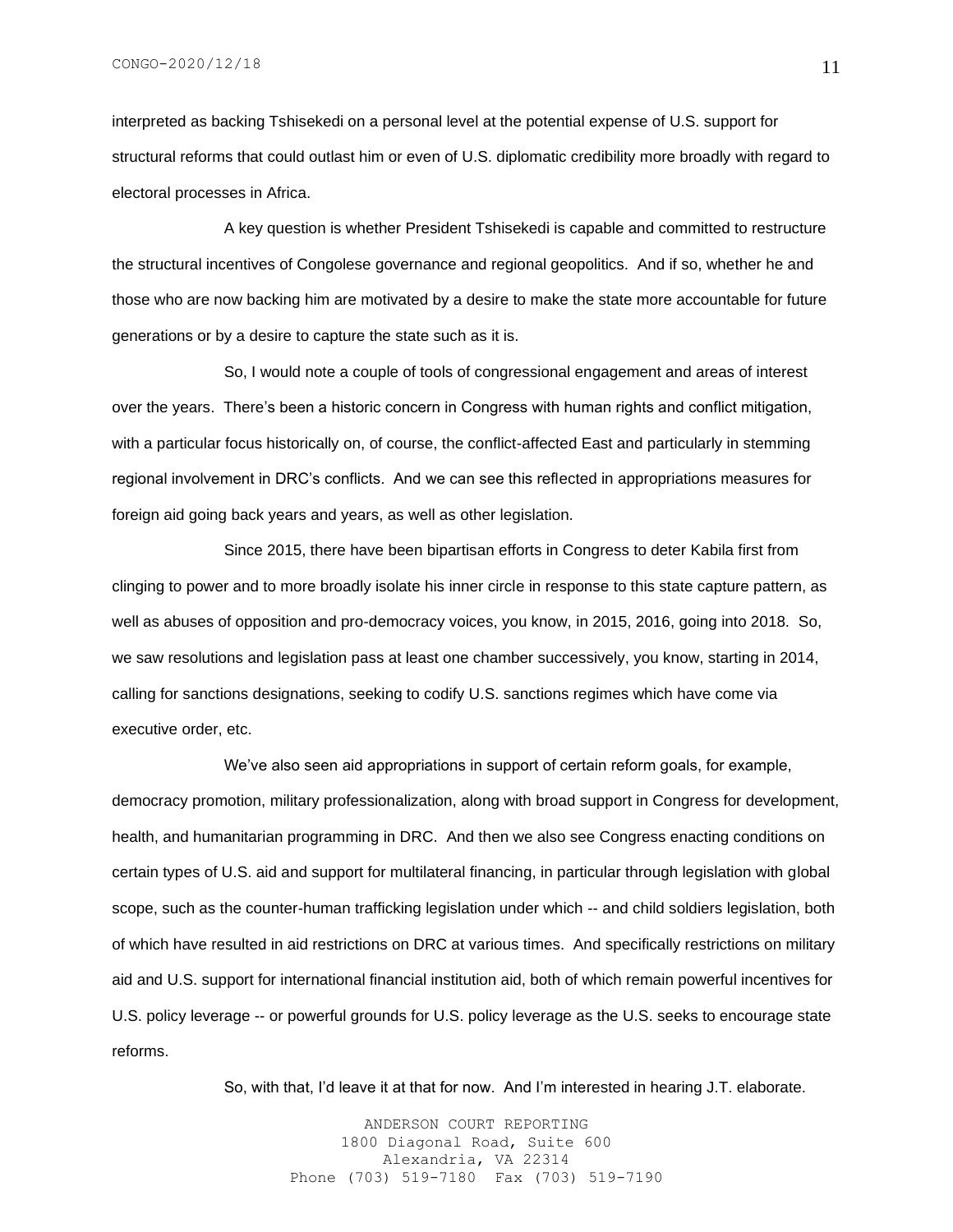interpreted as backing Tshisekedi on a personal level at the potential expense of U.S. support for structural reforms that could outlast him or even of U.S. diplomatic credibility more broadly with regard to electoral processes in Africa.

A key question is whether President Tshisekedi is capable and committed to restructure the structural incentives of Congolese governance and regional geopolitics. And if so, whether he and those who are now backing him are motivated by a desire to make the state more accountable for future generations or by a desire to capture the state such as it is.

So, I would note a couple of tools of congressional engagement and areas of interest over the years. There's been a historic concern in Congress with human rights and conflict mitigation, with a particular focus historically on, of course, the conflict-affected East and particularly in stemming regional involvement in DRC's conflicts. And we can see this reflected in appropriations measures for foreign aid going back years and years, as well as other legislation.

Since 2015, there have been bipartisan efforts in Congress to deter Kabila first from clinging to power and to more broadly isolate his inner circle in response to this state capture pattern, as well as abuses of opposition and pro-democracy voices, you know, in 2015, 2016, going into 2018. So, we saw resolutions and legislation pass at least one chamber successively, you know, starting in 2014, calling for sanctions designations, seeking to codify U.S. sanctions regimes which have come via executive order, etc.

We've also seen aid appropriations in support of certain reform goals, for example, democracy promotion, military professionalization, along with broad support in Congress for development, health, and humanitarian programming in DRC. And then we also see Congress enacting conditions on certain types of U.S. aid and support for multilateral financing, in particular through legislation with global scope, such as the counter-human trafficking legislation under which -- and child soldiers legislation, both of which have resulted in aid restrictions on DRC at various times. And specifically restrictions on military aid and U.S. support for international financial institution aid, both of which remain powerful incentives for U.S. policy leverage -- or powerful grounds for U.S. policy leverage as the U.S. seeks to encourage state reforms.

So, with that, I'd leave it at that for now. And I'm interested in hearing J.T. elaborate.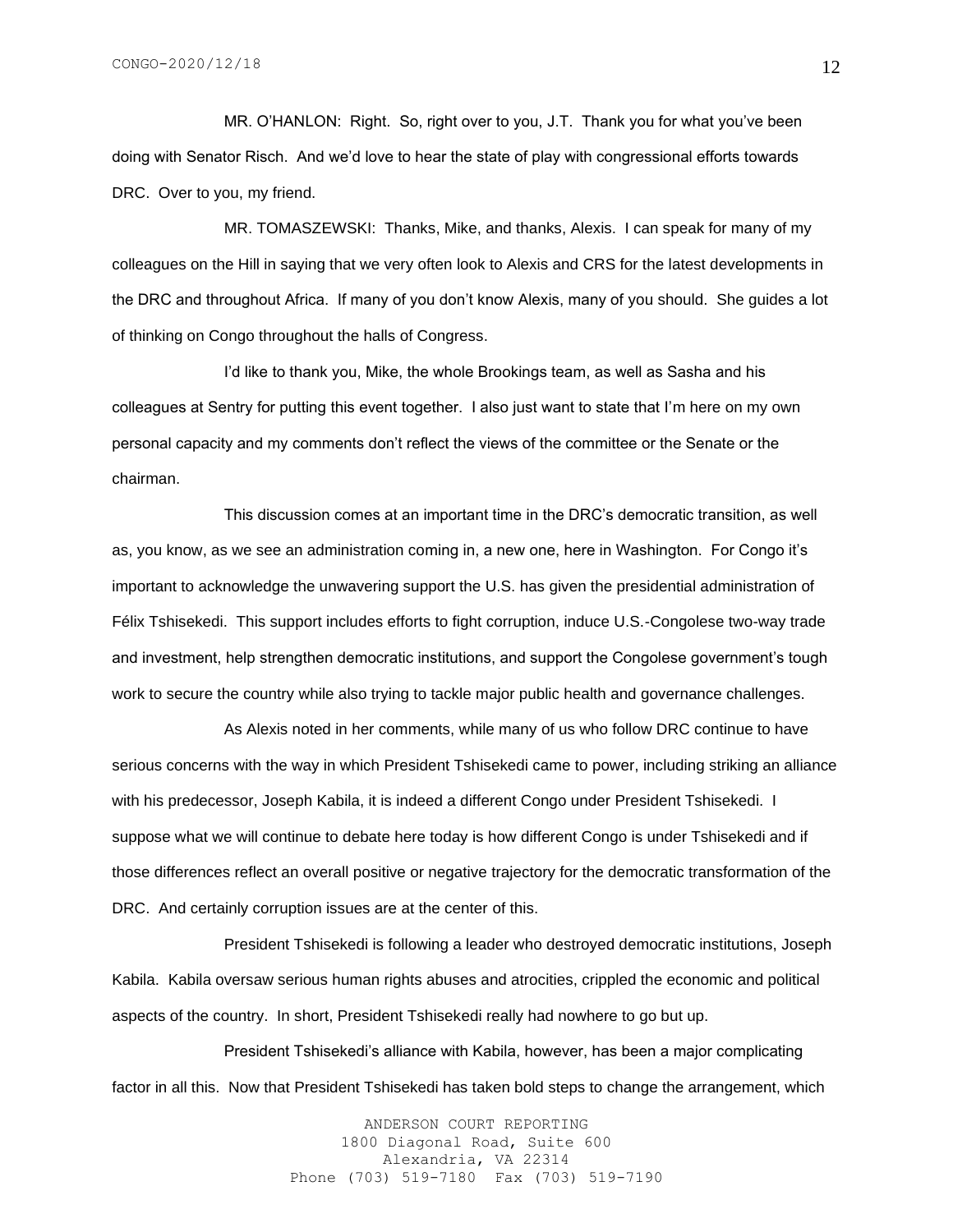MR. O'HANLON: Right. So, right over to you, J.T. Thank you for what you've been doing with Senator Risch. And we'd love to hear the state of play with congressional efforts towards DRC. Over to you, my friend.

MR. TOMASZEWSKI: Thanks, Mike, and thanks, Alexis. I can speak for many of my colleagues on the Hill in saying that we very often look to Alexis and CRS for the latest developments in the DRC and throughout Africa. If many of you don't know Alexis, many of you should. She guides a lot of thinking on Congo throughout the halls of Congress.

I'd like to thank you, Mike, the whole Brookings team, as well as Sasha and his colleagues at Sentry for putting this event together. I also just want to state that I'm here on my own personal capacity and my comments don't reflect the views of the committee or the Senate or the chairman.

This discussion comes at an important time in the DRC's democratic transition, as well as, you know, as we see an administration coming in, a new one, here in Washington. For Congo it's important to acknowledge the unwavering support the U.S. has given the presidential administration of Félix Tshisekedi. This support includes efforts to fight corruption, induce U.S.-Congolese two-way trade and investment, help strengthen democratic institutions, and support the Congolese government's tough work to secure the country while also trying to tackle major public health and governance challenges.

As Alexis noted in her comments, while many of us who follow DRC continue to have serious concerns with the way in which President Tshisekedi came to power, including striking an alliance with his predecessor, Joseph Kabila, it is indeed a different Congo under President Tshisekedi. I suppose what we will continue to debate here today is how different Congo is under Tshisekedi and if those differences reflect an overall positive or negative trajectory for the democratic transformation of the DRC. And certainly corruption issues are at the center of this.

President Tshisekedi is following a leader who destroyed democratic institutions, Joseph Kabila. Kabila oversaw serious human rights abuses and atrocities, crippled the economic and political aspects of the country. In short, President Tshisekedi really had nowhere to go but up.

President Tshisekedi's alliance with Kabila, however, has been a major complicating factor in all this. Now that President Tshisekedi has taken bold steps to change the arrangement, which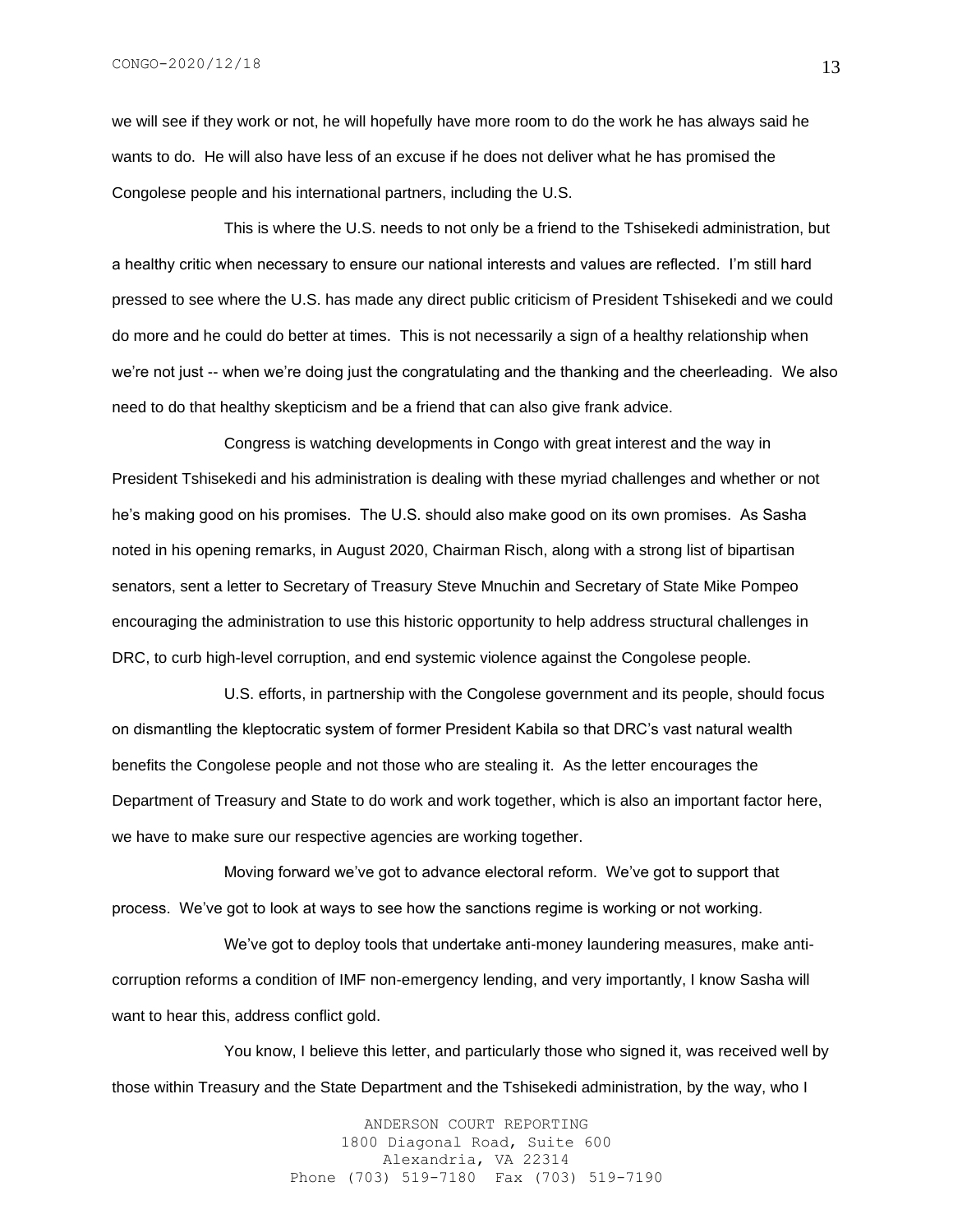we will see if they work or not, he will hopefully have more room to do the work he has always said he wants to do. He will also have less of an excuse if he does not deliver what he has promised the Congolese people and his international partners, including the U.S.

This is where the U.S. needs to not only be a friend to the Tshisekedi administration, but a healthy critic when necessary to ensure our national interests and values are reflected. I'm still hard pressed to see where the U.S. has made any direct public criticism of President Tshisekedi and we could do more and he could do better at times. This is not necessarily a sign of a healthy relationship when we're not just -- when we're doing just the congratulating and the thanking and the cheerleading. We also need to do that healthy skepticism and be a friend that can also give frank advice.

Congress is watching developments in Congo with great interest and the way in President Tshisekedi and his administration is dealing with these myriad challenges and whether or not he's making good on his promises. The U.S. should also make good on its own promises. As Sasha noted in his opening remarks, in August 2020, Chairman Risch, along with a strong list of bipartisan senators, sent a letter to Secretary of Treasury Steve Mnuchin and Secretary of State Mike Pompeo encouraging the administration to use this historic opportunity to help address structural challenges in DRC, to curb high-level corruption, and end systemic violence against the Congolese people.

U.S. efforts, in partnership with the Congolese government and its people, should focus on dismantling the kleptocratic system of former President Kabila so that DRC's vast natural wealth benefits the Congolese people and not those who are stealing it. As the letter encourages the Department of Treasury and State to do work and work together, which is also an important factor here, we have to make sure our respective agencies are working together.

Moving forward we've got to advance electoral reform. We've got to support that process. We've got to look at ways to see how the sanctions regime is working or not working.

We've got to deploy tools that undertake anti-money laundering measures, make anticorruption reforms a condition of IMF non-emergency lending, and very importantly, I know Sasha will want to hear this, address conflict gold.

You know, I believe this letter, and particularly those who signed it, was received well by those within Treasury and the State Department and the Tshisekedi administration, by the way, who I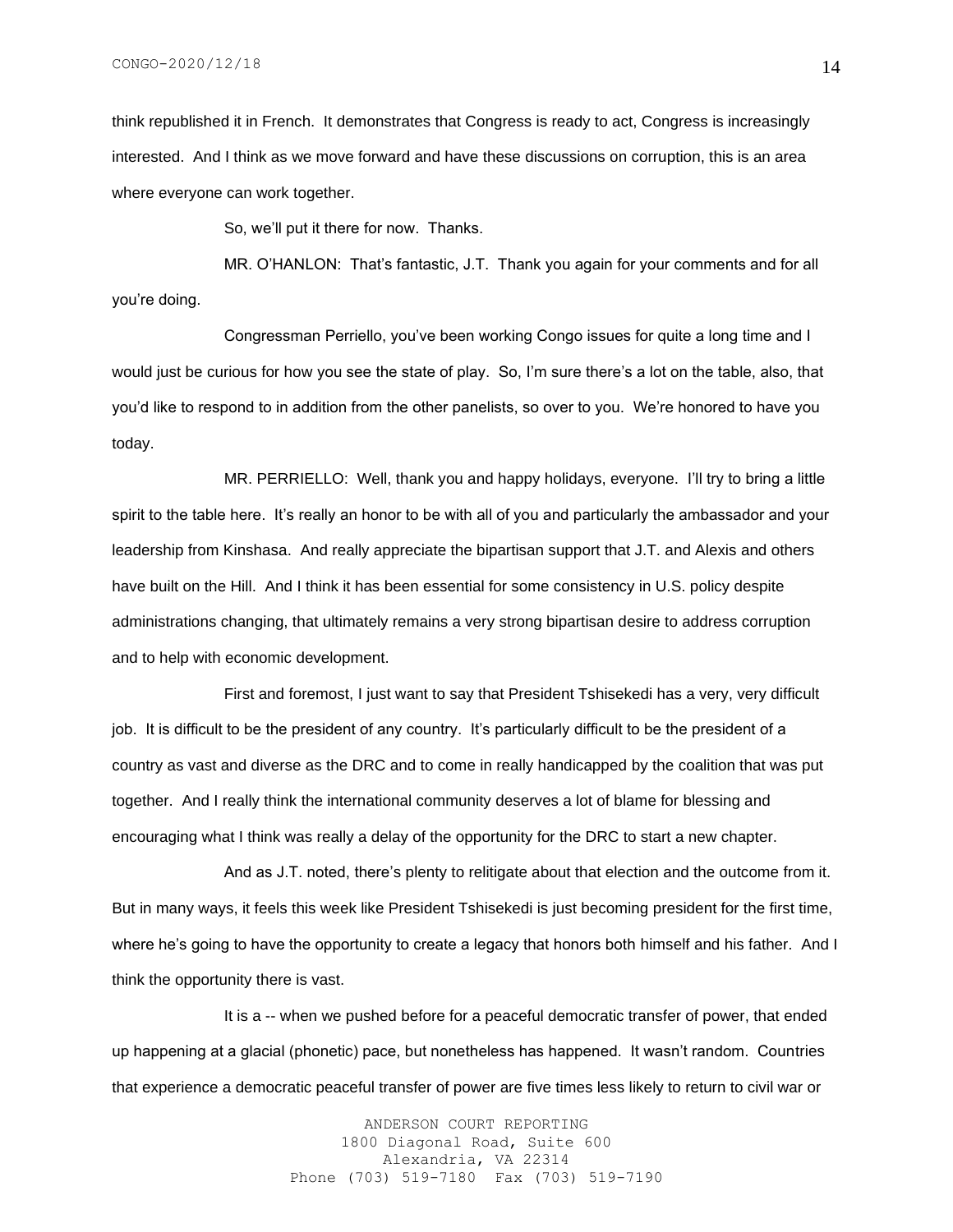think republished it in French. It demonstrates that Congress is ready to act, Congress is increasingly interested. And I think as we move forward and have these discussions on corruption, this is an area where everyone can work together.

So, we'll put it there for now. Thanks.

MR. O'HANLON: That's fantastic, J.T. Thank you again for your comments and for all you're doing.

Congressman Perriello, you've been working Congo issues for quite a long time and I would just be curious for how you see the state of play. So, I'm sure there's a lot on the table, also, that you'd like to respond to in addition from the other panelists, so over to you. We're honored to have you today.

MR. PERRIELLO: Well, thank you and happy holidays, everyone. I'll try to bring a little spirit to the table here. It's really an honor to be with all of you and particularly the ambassador and your leadership from Kinshasa. And really appreciate the bipartisan support that J.T. and Alexis and others have built on the Hill. And I think it has been essential for some consistency in U.S. policy despite administrations changing, that ultimately remains a very strong bipartisan desire to address corruption and to help with economic development.

First and foremost, I just want to say that President Tshisekedi has a very, very difficult job. It is difficult to be the president of any country. It's particularly difficult to be the president of a country as vast and diverse as the DRC and to come in really handicapped by the coalition that was put together. And I really think the international community deserves a lot of blame for blessing and encouraging what I think was really a delay of the opportunity for the DRC to start a new chapter.

And as J.T. noted, there's plenty to relitigate about that election and the outcome from it. But in many ways, it feels this week like President Tshisekedi is just becoming president for the first time, where he's going to have the opportunity to create a legacy that honors both himself and his father. And I think the opportunity there is vast.

It is a -- when we pushed before for a peaceful democratic transfer of power, that ended up happening at a glacial (phonetic) pace, but nonetheless has happened. It wasn't random. Countries that experience a democratic peaceful transfer of power are five times less likely to return to civil war or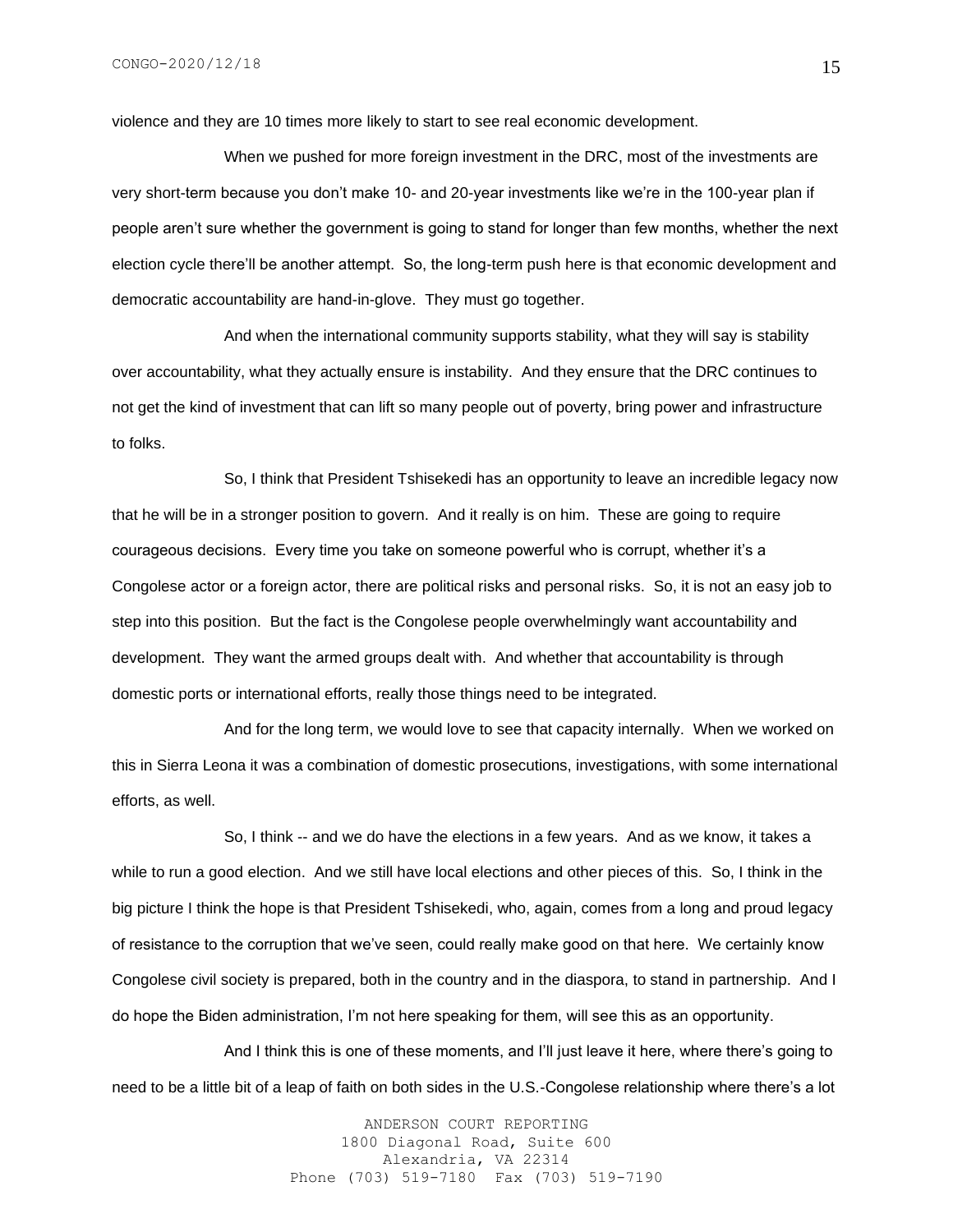violence and they are 10 times more likely to start to see real economic development.

When we pushed for more foreign investment in the DRC, most of the investments are very short-term because you don't make 10- and 20-year investments like we're in the 100-year plan if people aren't sure whether the government is going to stand for longer than few months, whether the next election cycle there'll be another attempt. So, the long-term push here is that economic development and democratic accountability are hand-in-glove. They must go together.

And when the international community supports stability, what they will say is stability over accountability, what they actually ensure is instability. And they ensure that the DRC continues to not get the kind of investment that can lift so many people out of poverty, bring power and infrastructure to folks.

So, I think that President Tshisekedi has an opportunity to leave an incredible legacy now that he will be in a stronger position to govern. And it really is on him. These are going to require courageous decisions. Every time you take on someone powerful who is corrupt, whether it's a Congolese actor or a foreign actor, there are political risks and personal risks. So, it is not an easy job to step into this position. But the fact is the Congolese people overwhelmingly want accountability and development. They want the armed groups dealt with. And whether that accountability is through domestic ports or international efforts, really those things need to be integrated.

And for the long term, we would love to see that capacity internally. When we worked on this in Sierra Leona it was a combination of domestic prosecutions, investigations, with some international efforts, as well.

So, I think -- and we do have the elections in a few years. And as we know, it takes a while to run a good election. And we still have local elections and other pieces of this. So, I think in the big picture I think the hope is that President Tshisekedi, who, again, comes from a long and proud legacy of resistance to the corruption that we've seen, could really make good on that here. We certainly know Congolese civil society is prepared, both in the country and in the diaspora, to stand in partnership. And I do hope the Biden administration, I'm not here speaking for them, will see this as an opportunity.

And I think this is one of these moments, and I'll just leave it here, where there's going to need to be a little bit of a leap of faith on both sides in the U.S.-Congolese relationship where there's a lot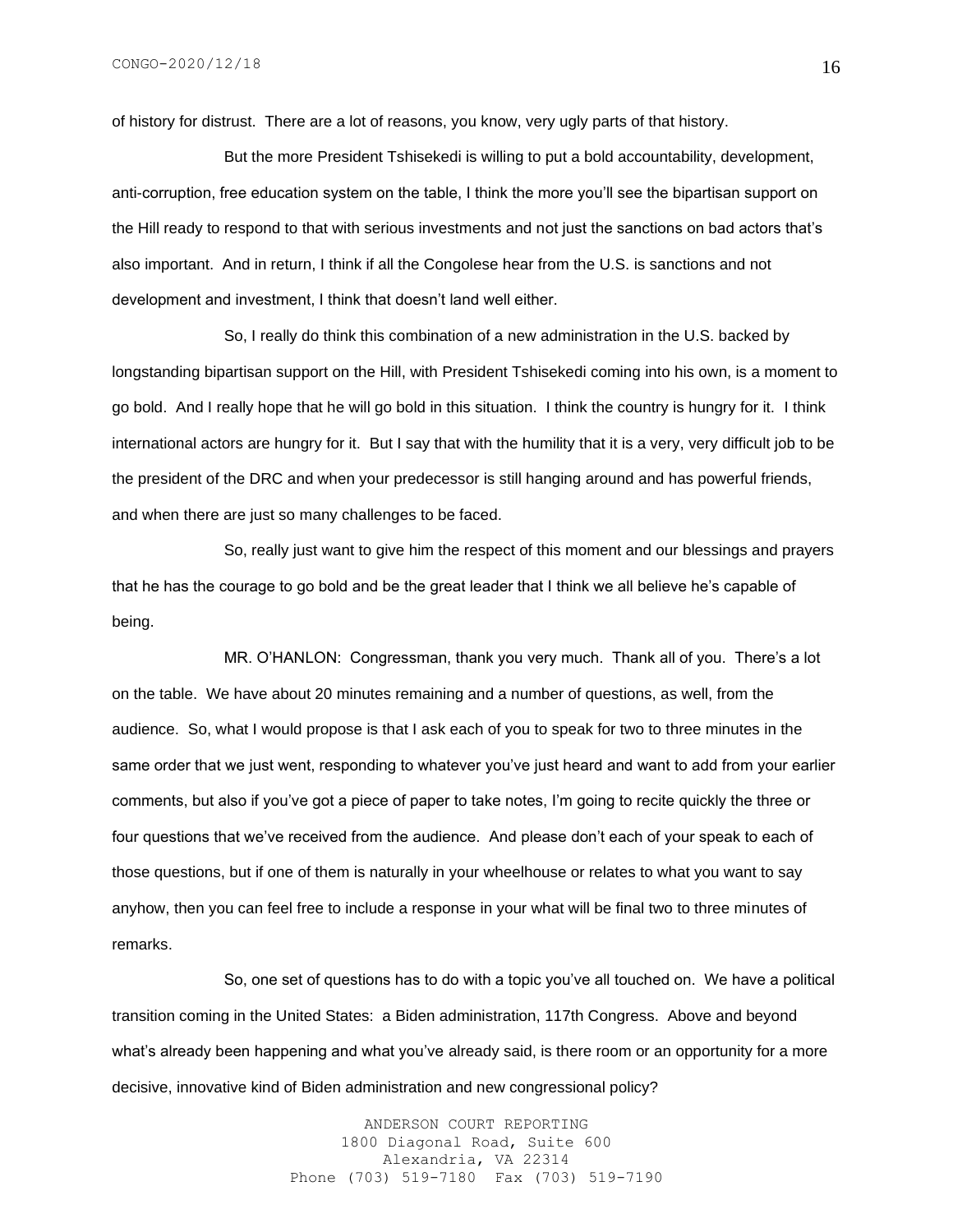of history for distrust. There are a lot of reasons, you know, very ugly parts of that history.

But the more President Tshisekedi is willing to put a bold accountability, development, anti-corruption, free education system on the table, I think the more you'll see the bipartisan support on the Hill ready to respond to that with serious investments and not just the sanctions on bad actors that's also important. And in return, I think if all the Congolese hear from the U.S. is sanctions and not development and investment, I think that doesn't land well either.

So, I really do think this combination of a new administration in the U.S. backed by longstanding bipartisan support on the Hill, with President Tshisekedi coming into his own, is a moment to go bold. And I really hope that he will go bold in this situation. I think the country is hungry for it. I think international actors are hungry for it. But I say that with the humility that it is a very, very difficult job to be the president of the DRC and when your predecessor is still hanging around and has powerful friends, and when there are just so many challenges to be faced.

So, really just want to give him the respect of this moment and our blessings and prayers that he has the courage to go bold and be the great leader that I think we all believe he's capable of being.

MR. O'HANLON: Congressman, thank you very much. Thank all of you. There's a lot on the table. We have about 20 minutes remaining and a number of questions, as well, from the audience. So, what I would propose is that I ask each of you to speak for two to three minutes in the same order that we just went, responding to whatever you've just heard and want to add from your earlier comments, but also if you've got a piece of paper to take notes, I'm going to recite quickly the three or four questions that we've received from the audience. And please don't each of your speak to each of those questions, but if one of them is naturally in your wheelhouse or relates to what you want to say anyhow, then you can feel free to include a response in your what will be final two to three minutes of remarks.

So, one set of questions has to do with a topic you've all touched on. We have a political transition coming in the United States: a Biden administration, 117th Congress. Above and beyond what's already been happening and what you've already said, is there room or an opportunity for a more decisive, innovative kind of Biden administration and new congressional policy?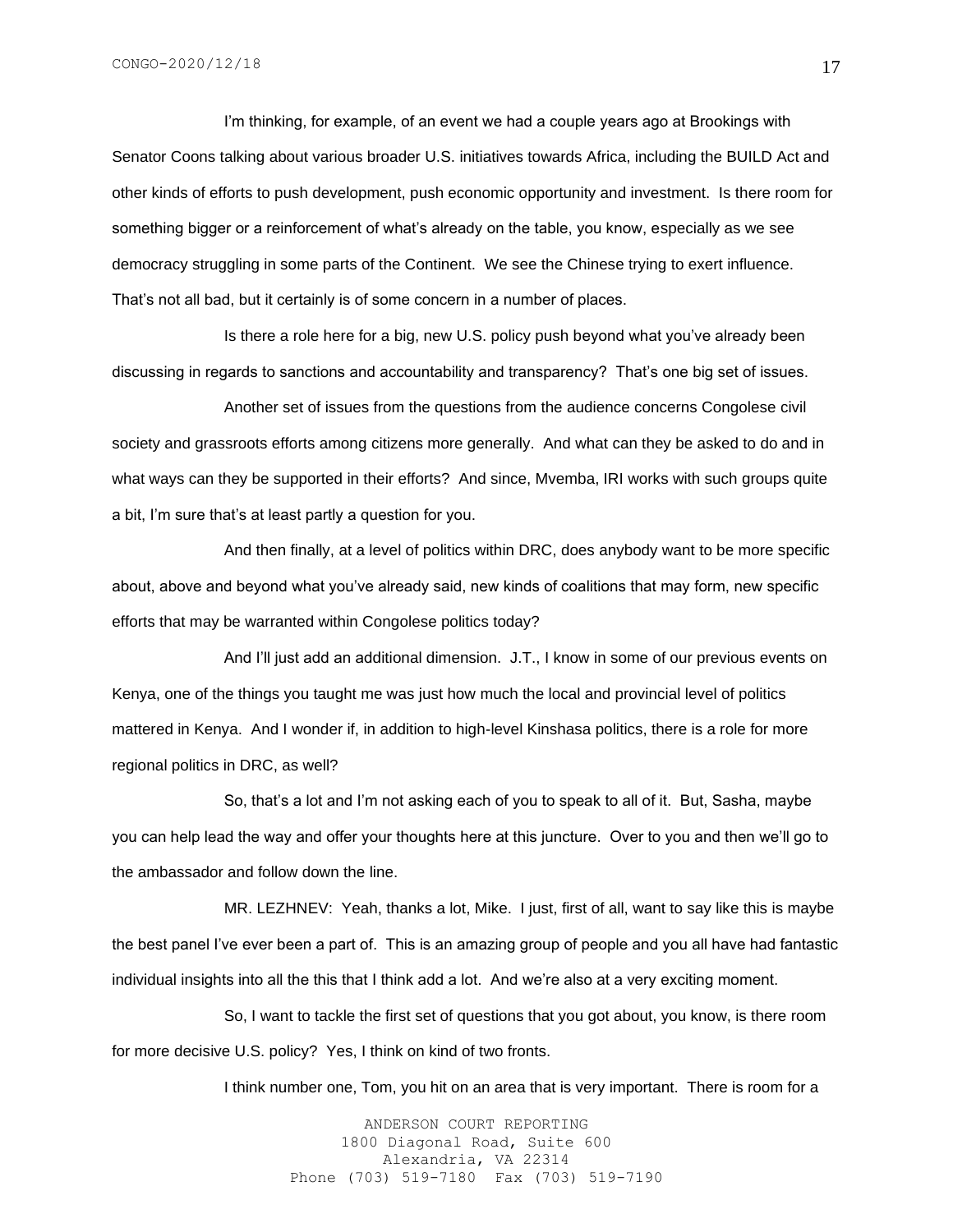I'm thinking, for example, of an event we had a couple years ago at Brookings with Senator Coons talking about various broader U.S. initiatives towards Africa, including the BUILD Act and other kinds of efforts to push development, push economic opportunity and investment. Is there room for something bigger or a reinforcement of what's already on the table, you know, especially as we see democracy struggling in some parts of the Continent. We see the Chinese trying to exert influence. That's not all bad, but it certainly is of some concern in a number of places.

Is there a role here for a big, new U.S. policy push beyond what you've already been discussing in regards to sanctions and accountability and transparency? That's one big set of issues.

Another set of issues from the questions from the audience concerns Congolese civil society and grassroots efforts among citizens more generally. And what can they be asked to do and in what ways can they be supported in their efforts? And since, Mvemba, IRI works with such groups quite a bit, I'm sure that's at least partly a question for you.

And then finally, at a level of politics within DRC, does anybody want to be more specific about, above and beyond what you've already said, new kinds of coalitions that may form, new specific efforts that may be warranted within Congolese politics today?

And I'll just add an additional dimension. J.T., I know in some of our previous events on Kenya, one of the things you taught me was just how much the local and provincial level of politics mattered in Kenya. And I wonder if, in addition to high-level Kinshasa politics, there is a role for more regional politics in DRC, as well?

So, that's a lot and I'm not asking each of you to speak to all of it. But, Sasha, maybe you can help lead the way and offer your thoughts here at this juncture. Over to you and then we'll go to the ambassador and follow down the line.

MR. LEZHNEV: Yeah, thanks a lot, Mike. I just, first of all, want to say like this is maybe the best panel I've ever been a part of. This is an amazing group of people and you all have had fantastic individual insights into all the this that I think add a lot. And we're also at a very exciting moment.

So, I want to tackle the first set of questions that you got about, you know, is there room for more decisive U.S. policy? Yes, I think on kind of two fronts.

I think number one, Tom, you hit on an area that is very important. There is room for a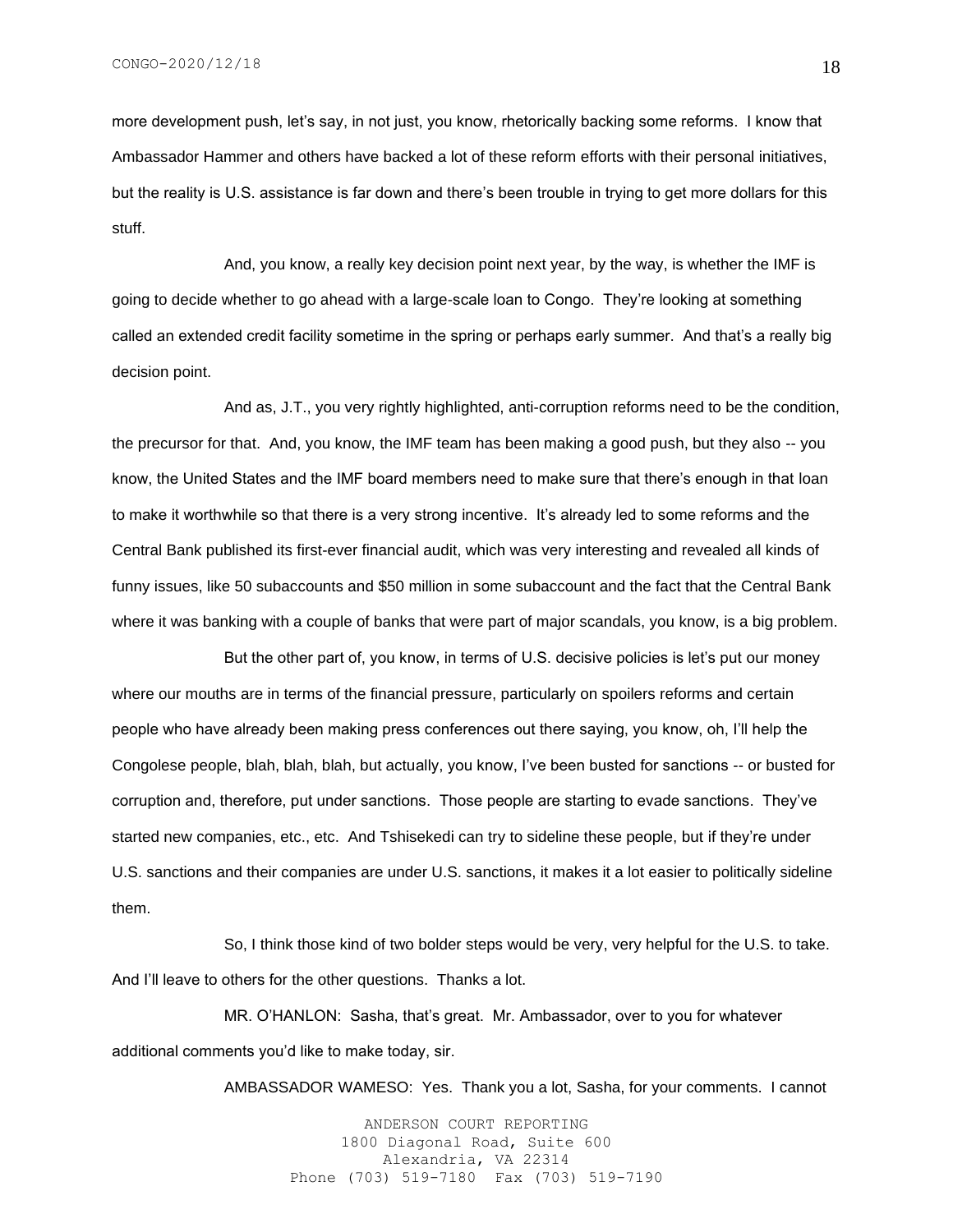more development push, let's say, in not just, you know, rhetorically backing some reforms. I know that Ambassador Hammer and others have backed a lot of these reform efforts with their personal initiatives, but the reality is U.S. assistance is far down and there's been trouble in trying to get more dollars for this stuff.

And, you know, a really key decision point next year, by the way, is whether the IMF is going to decide whether to go ahead with a large-scale loan to Congo. They're looking at something called an extended credit facility sometime in the spring or perhaps early summer. And that's a really big decision point.

And as, J.T., you very rightly highlighted, anti-corruption reforms need to be the condition, the precursor for that. And, you know, the IMF team has been making a good push, but they also -- you know, the United States and the IMF board members need to make sure that there's enough in that loan to make it worthwhile so that there is a very strong incentive. It's already led to some reforms and the Central Bank published its first-ever financial audit, which was very interesting and revealed all kinds of funny issues, like 50 subaccounts and \$50 million in some subaccount and the fact that the Central Bank where it was banking with a couple of banks that were part of major scandals, you know, is a big problem.

But the other part of, you know, in terms of U.S. decisive policies is let's put our money where our mouths are in terms of the financial pressure, particularly on spoilers reforms and certain people who have already been making press conferences out there saying, you know, oh, I'll help the Congolese people, blah, blah, blah, but actually, you know, I've been busted for sanctions -- or busted for corruption and, therefore, put under sanctions. Those people are starting to evade sanctions. They've started new companies, etc., etc. And Tshisekedi can try to sideline these people, but if they're under U.S. sanctions and their companies are under U.S. sanctions, it makes it a lot easier to politically sideline them.

So, I think those kind of two bolder steps would be very, very helpful for the U.S. to take. And I'll leave to others for the other questions. Thanks a lot.

MR. O'HANLON: Sasha, that's great. Mr. Ambassador, over to you for whatever additional comments you'd like to make today, sir.

AMBASSADOR WAMESO: Yes. Thank you a lot, Sasha, for your comments. I cannot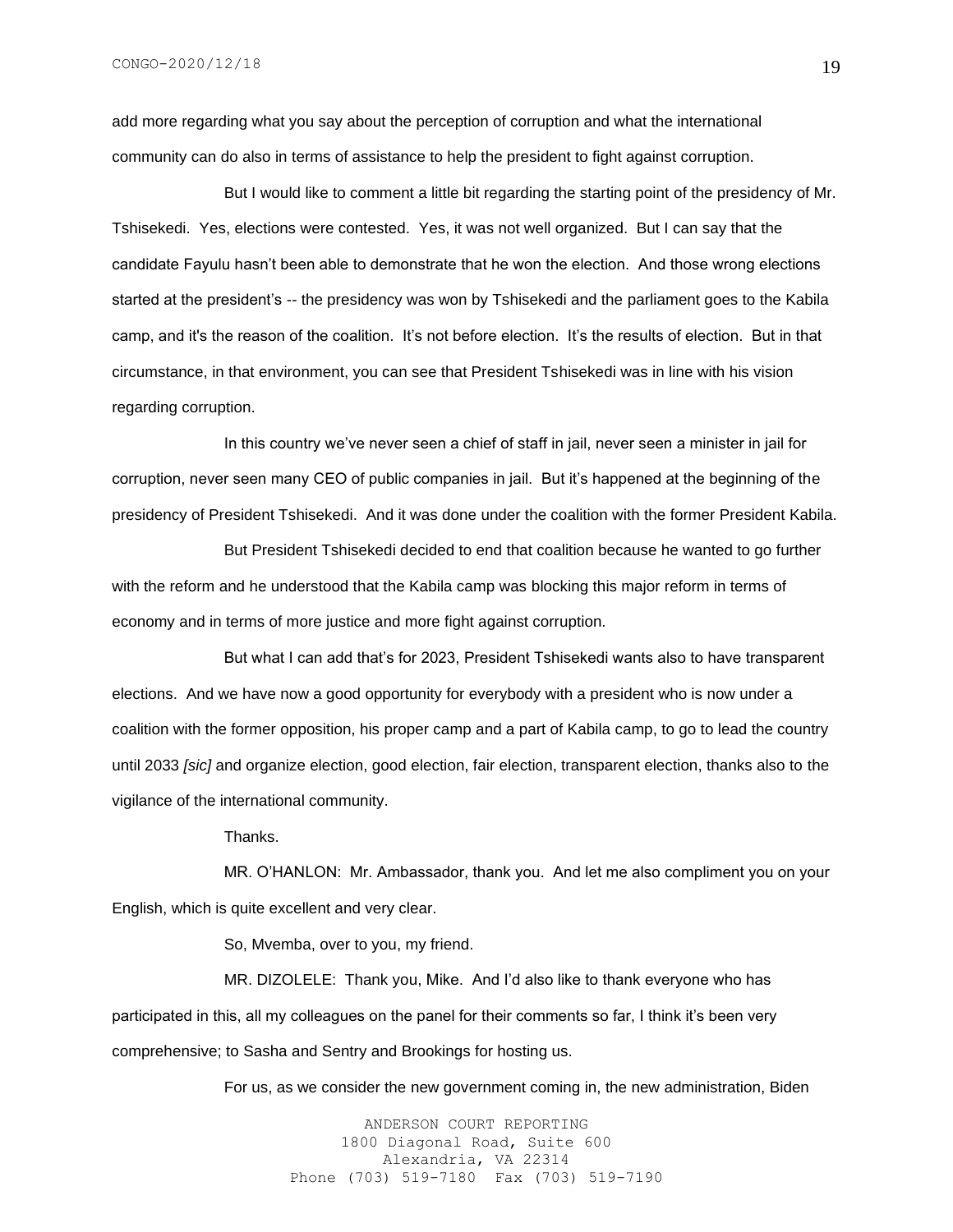add more regarding what you say about the perception of corruption and what the international community can do also in terms of assistance to help the president to fight against corruption.

But I would like to comment a little bit regarding the starting point of the presidency of Mr. Tshisekedi. Yes, elections were contested. Yes, it was not well organized. But I can say that the candidate Fayulu hasn't been able to demonstrate that he won the election. And those wrong elections started at the president's -- the presidency was won by Tshisekedi and the parliament goes to the Kabila camp, and it's the reason of the coalition. It's not before election. It's the results of election. But in that circumstance, in that environment, you can see that President Tshisekedi was in line with his vision regarding corruption.

In this country we've never seen a chief of staff in jail, never seen a minister in jail for corruption, never seen many CEO of public companies in jail. But it's happened at the beginning of the presidency of President Tshisekedi. And it was done under the coalition with the former President Kabila.

But President Tshisekedi decided to end that coalition because he wanted to go further with the reform and he understood that the Kabila camp was blocking this major reform in terms of economy and in terms of more justice and more fight against corruption.

But what I can add that's for 2023, President Tshisekedi wants also to have transparent elections. And we have now a good opportunity for everybody with a president who is now under a coalition with the former opposition, his proper camp and a part of Kabila camp, to go to lead the country until 2033 *[sic]* and organize election, good election, fair election, transparent election, thanks also to the vigilance of the international community.

Thanks.

MR. O'HANLON: Mr. Ambassador, thank you. And let me also compliment you on your English, which is quite excellent and very clear.

So, Mvemba, over to you, my friend.

MR. DIZOLELE: Thank you, Mike. And I'd also like to thank everyone who has participated in this, all my colleagues on the panel for their comments so far, I think it's been very comprehensive; to Sasha and Sentry and Brookings for hosting us.

For us, as we consider the new government coming in, the new administration, Biden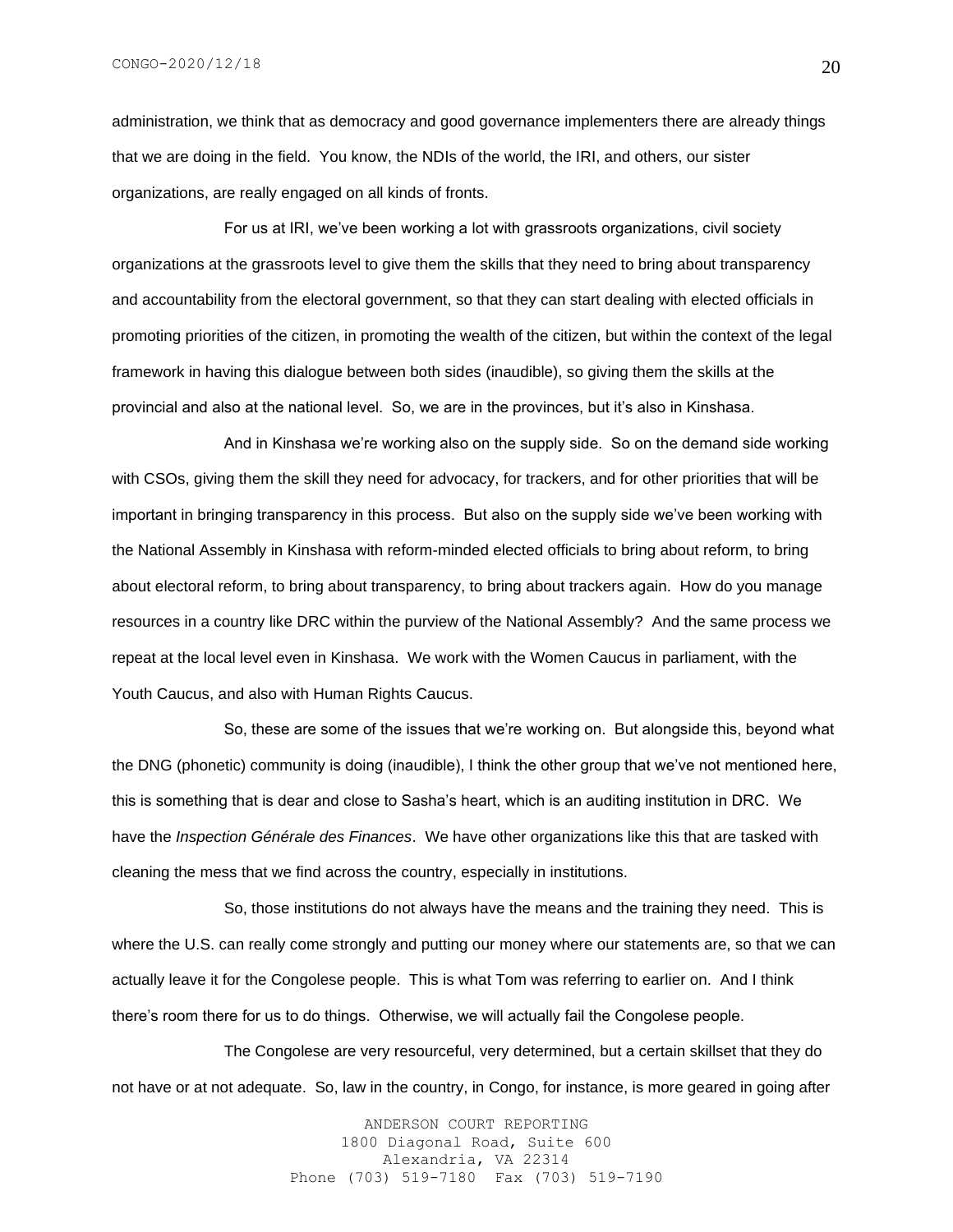administration, we think that as democracy and good governance implementers there are already things that we are doing in the field. You know, the NDIs of the world, the IRI, and others, our sister organizations, are really engaged on all kinds of fronts.

For us at IRI, we've been working a lot with grassroots organizations, civil society organizations at the grassroots level to give them the skills that they need to bring about transparency and accountability from the electoral government, so that they can start dealing with elected officials in promoting priorities of the citizen, in promoting the wealth of the citizen, but within the context of the legal framework in having this dialogue between both sides (inaudible), so giving them the skills at the provincial and also at the national level. So, we are in the provinces, but it's also in Kinshasa.

And in Kinshasa we're working also on the supply side. So on the demand side working with CSOs, giving them the skill they need for advocacy, for trackers, and for other priorities that will be important in bringing transparency in this process. But also on the supply side we've been working with the National Assembly in Kinshasa with reform-minded elected officials to bring about reform, to bring about electoral reform, to bring about transparency, to bring about trackers again. How do you manage resources in a country like DRC within the purview of the National Assembly? And the same process we repeat at the local level even in Kinshasa. We work with the Women Caucus in parliament, with the Youth Caucus, and also with Human Rights Caucus.

So, these are some of the issues that we're working on. But alongside this, beyond what the DNG (phonetic) community is doing (inaudible), I think the other group that we've not mentioned here, this is something that is dear and close to Sasha's heart, which is an auditing institution in DRC. We have the *Inspection Générale des Finances*. We have other organizations like this that are tasked with cleaning the mess that we find across the country, especially in institutions.

So, those institutions do not always have the means and the training they need. This is where the U.S. can really come strongly and putting our money where our statements are, so that we can actually leave it for the Congolese people. This is what Tom was referring to earlier on. And I think there's room there for us to do things. Otherwise, we will actually fail the Congolese people.

The Congolese are very resourceful, very determined, but a certain skillset that they do not have or at not adequate. So, law in the country, in Congo, for instance, is more geared in going after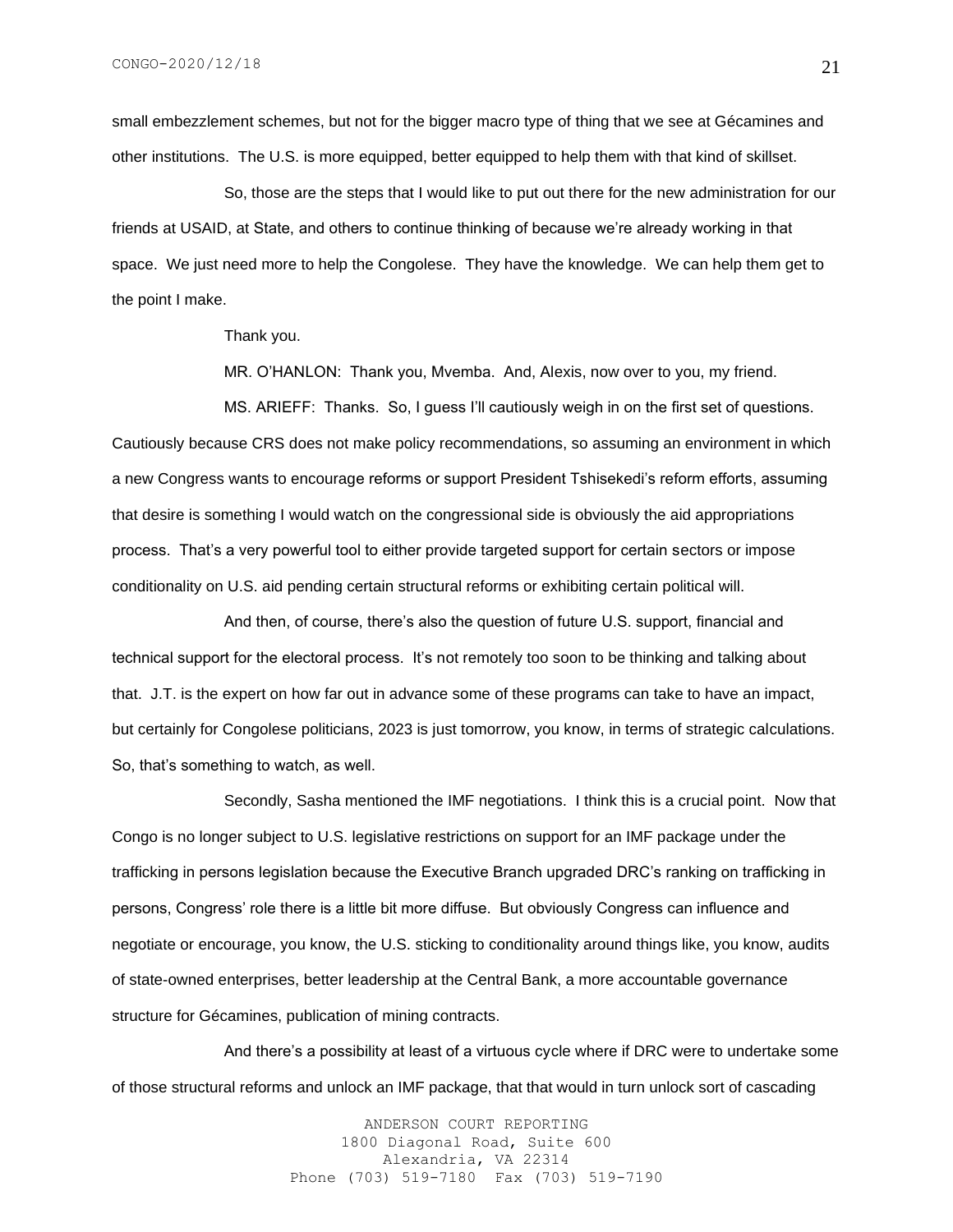small embezzlement schemes, but not for the bigger macro type of thing that we see at Gécamines and other institutions. The U.S. is more equipped, better equipped to help them with that kind of skillset.

So, those are the steps that I would like to put out there for the new administration for our friends at USAID, at State, and others to continue thinking of because we're already working in that space. We just need more to help the Congolese. They have the knowledge. We can help them get to the point I make.

Thank you.

MR. O'HANLON: Thank you, Mvemba. And, Alexis, now over to you, my friend.

MS. ARIEFF: Thanks. So, I guess I'll cautiously weigh in on the first set of questions. Cautiously because CRS does not make policy recommendations, so assuming an environment in which a new Congress wants to encourage reforms or support President Tshisekedi's reform efforts, assuming that desire is something I would watch on the congressional side is obviously the aid appropriations process. That's a very powerful tool to either provide targeted support for certain sectors or impose conditionality on U.S. aid pending certain structural reforms or exhibiting certain political will.

And then, of course, there's also the question of future U.S. support, financial and technical support for the electoral process. It's not remotely too soon to be thinking and talking about that. J.T. is the expert on how far out in advance some of these programs can take to have an impact, but certainly for Congolese politicians, 2023 is just tomorrow, you know, in terms of strategic calculations. So, that's something to watch, as well.

Secondly, Sasha mentioned the IMF negotiations. I think this is a crucial point. Now that Congo is no longer subject to U.S. legislative restrictions on support for an IMF package under the trafficking in persons legislation because the Executive Branch upgraded DRC's ranking on trafficking in persons, Congress' role there is a little bit more diffuse. But obviously Congress can influence and negotiate or encourage, you know, the U.S. sticking to conditionality around things like, you know, audits of state-owned enterprises, better leadership at the Central Bank, a more accountable governance structure for Gécamines, publication of mining contracts.

And there's a possibility at least of a virtuous cycle where if DRC were to undertake some of those structural reforms and unlock an IMF package, that that would in turn unlock sort of cascading

> ANDERSON COURT REPORTING 1800 Diagonal Road, Suite 600 Alexandria, VA 22314 Phone (703) 519-7180 Fax (703) 519-7190

21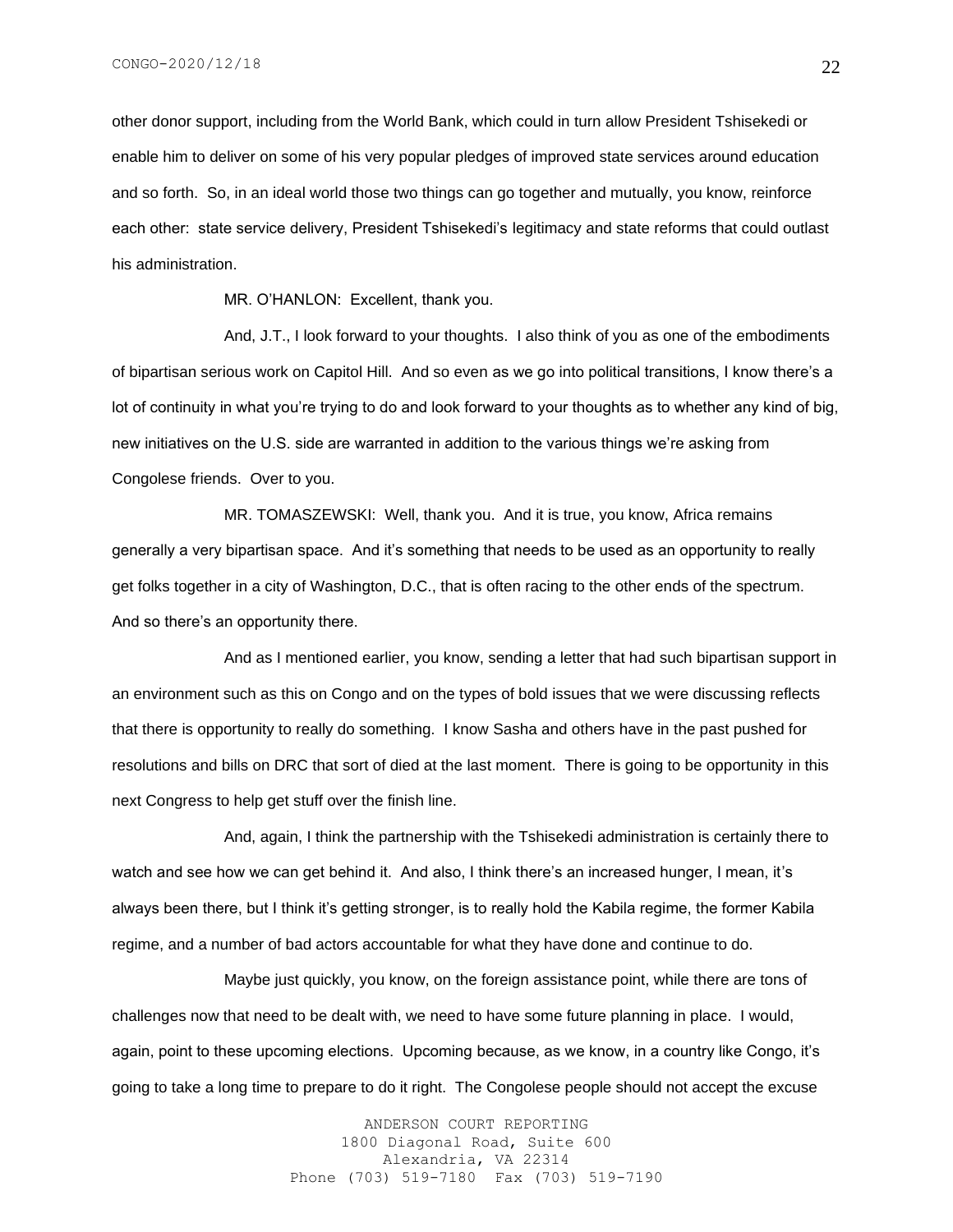other donor support, including from the World Bank, which could in turn allow President Tshisekedi or enable him to deliver on some of his very popular pledges of improved state services around education and so forth. So, in an ideal world those two things can go together and mutually, you know, reinforce each other: state service delivery, President Tshisekedi's legitimacy and state reforms that could outlast his administration.

MR. O'HANLON: Excellent, thank you.

And, J.T., I look forward to your thoughts. I also think of you as one of the embodiments of bipartisan serious work on Capitol Hill. And so even as we go into political transitions, I know there's a lot of continuity in what you're trying to do and look forward to your thoughts as to whether any kind of big, new initiatives on the U.S. side are warranted in addition to the various things we're asking from Congolese friends. Over to you.

MR. TOMASZEWSKI: Well, thank you. And it is true, you know, Africa remains generally a very bipartisan space. And it's something that needs to be used as an opportunity to really get folks together in a city of Washington, D.C., that is often racing to the other ends of the spectrum. And so there's an opportunity there.

And as I mentioned earlier, you know, sending a letter that had such bipartisan support in an environment such as this on Congo and on the types of bold issues that we were discussing reflects that there is opportunity to really do something. I know Sasha and others have in the past pushed for resolutions and bills on DRC that sort of died at the last moment. There is going to be opportunity in this next Congress to help get stuff over the finish line.

And, again, I think the partnership with the Tshisekedi administration is certainly there to watch and see how we can get behind it. And also, I think there's an increased hunger, I mean, it's always been there, but I think it's getting stronger, is to really hold the Kabila regime, the former Kabila regime, and a number of bad actors accountable for what they have done and continue to do.

Maybe just quickly, you know, on the foreign assistance point, while there are tons of challenges now that need to be dealt with, we need to have some future planning in place. I would, again, point to these upcoming elections. Upcoming because, as we know, in a country like Congo, it's going to take a long time to prepare to do it right. The Congolese people should not accept the excuse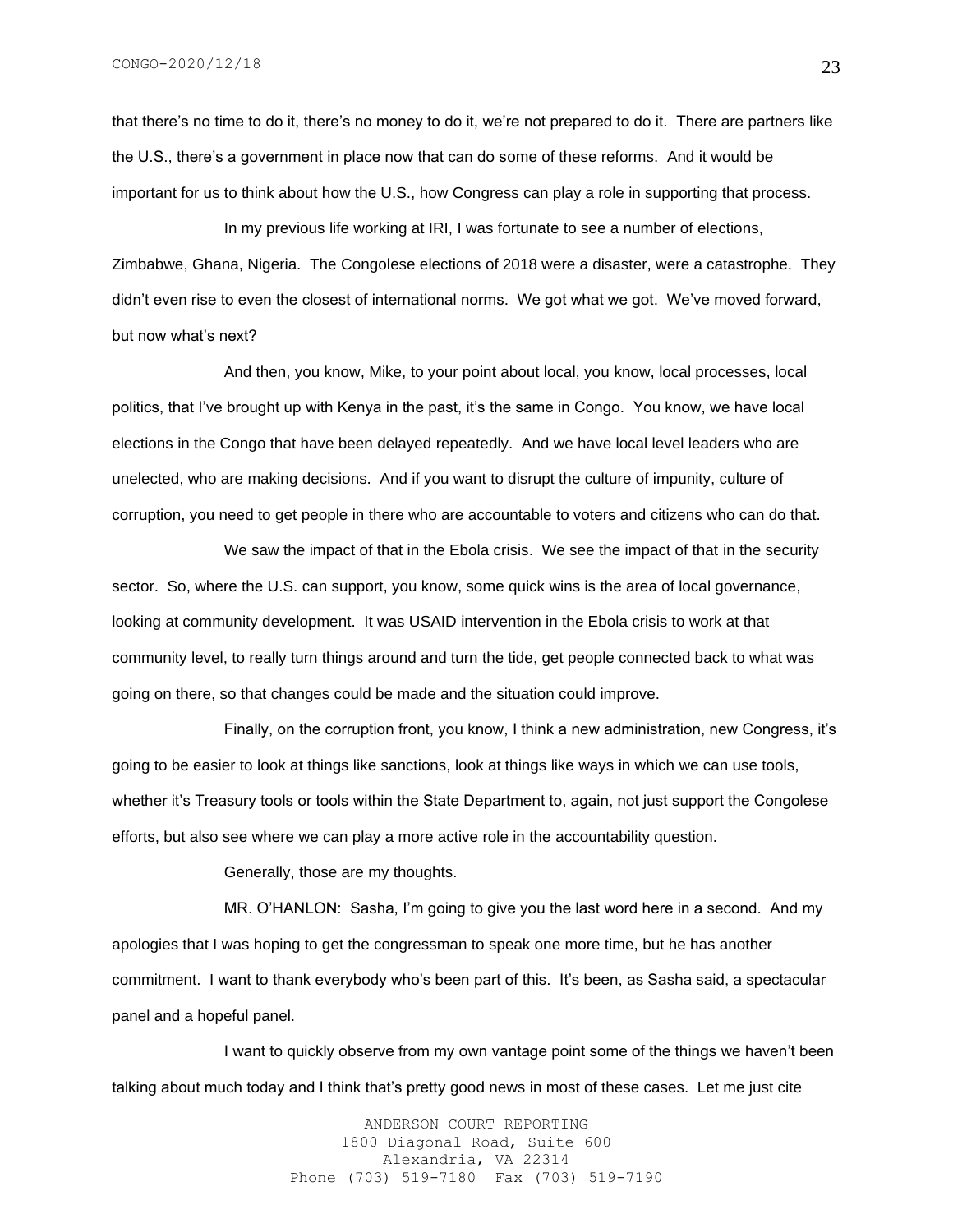that there's no time to do it, there's no money to do it, we're not prepared to do it. There are partners like the U.S., there's a government in place now that can do some of these reforms. And it would be important for us to think about how the U.S., how Congress can play a role in supporting that process.

In my previous life working at IRI, I was fortunate to see a number of elections, Zimbabwe, Ghana, Nigeria. The Congolese elections of 2018 were a disaster, were a catastrophe. They didn't even rise to even the closest of international norms. We got what we got. We've moved forward, but now what's next?

And then, you know, Mike, to your point about local, you know, local processes, local politics, that I've brought up with Kenya in the past, it's the same in Congo. You know, we have local elections in the Congo that have been delayed repeatedly. And we have local level leaders who are unelected, who are making decisions. And if you want to disrupt the culture of impunity, culture of corruption, you need to get people in there who are accountable to voters and citizens who can do that.

We saw the impact of that in the Ebola crisis. We see the impact of that in the security sector. So, where the U.S. can support, you know, some quick wins is the area of local governance, looking at community development. It was USAID intervention in the Ebola crisis to work at that community level, to really turn things around and turn the tide, get people connected back to what was going on there, so that changes could be made and the situation could improve.

Finally, on the corruption front, you know, I think a new administration, new Congress, it's going to be easier to look at things like sanctions, look at things like ways in which we can use tools, whether it's Treasury tools or tools within the State Department to, again, not just support the Congolese efforts, but also see where we can play a more active role in the accountability question.

Generally, those are my thoughts.

MR. O'HANLON: Sasha, I'm going to give you the last word here in a second. And my apologies that I was hoping to get the congressman to speak one more time, but he has another commitment. I want to thank everybody who's been part of this. It's been, as Sasha said, a spectacular panel and a hopeful panel.

I want to quickly observe from my own vantage point some of the things we haven't been talking about much today and I think that's pretty good news in most of these cases. Let me just cite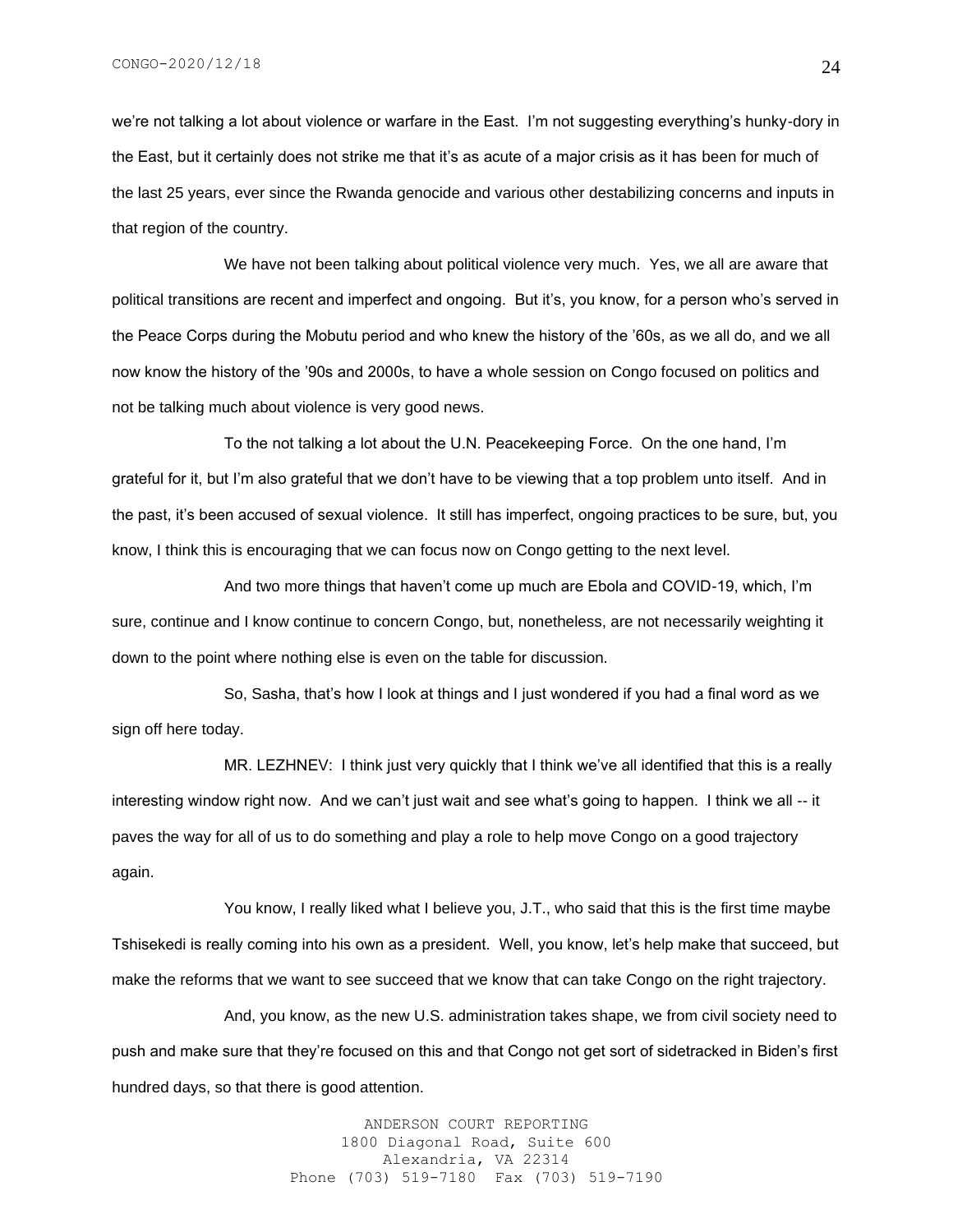we're not talking a lot about violence or warfare in the East. I'm not suggesting everything's hunky-dory in the East, but it certainly does not strike me that it's as acute of a major crisis as it has been for much of the last 25 years, ever since the Rwanda genocide and various other destabilizing concerns and inputs in that region of the country.

We have not been talking about political violence very much. Yes, we all are aware that political transitions are recent and imperfect and ongoing. But it's, you know, for a person who's served in the Peace Corps during the Mobutu period and who knew the history of the '60s, as we all do, and we all now know the history of the '90s and 2000s, to have a whole session on Congo focused on politics and not be talking much about violence is very good news.

To the not talking a lot about the U.N. Peacekeeping Force. On the one hand, I'm grateful for it, but I'm also grateful that we don't have to be viewing that a top problem unto itself. And in the past, it's been accused of sexual violence. It still has imperfect, ongoing practices to be sure, but, you know, I think this is encouraging that we can focus now on Congo getting to the next level.

And two more things that haven't come up much are Ebola and COVID-19, which, I'm sure, continue and I know continue to concern Congo, but, nonetheless, are not necessarily weighting it down to the point where nothing else is even on the table for discussion.

So, Sasha, that's how I look at things and I just wondered if you had a final word as we sign off here today.

MR. LEZHNEV: I think just very quickly that I think we've all identified that this is a really interesting window right now. And we can't just wait and see what's going to happen. I think we all -- it paves the way for all of us to do something and play a role to help move Congo on a good trajectory again.

You know, I really liked what I believe you, J.T., who said that this is the first time maybe Tshisekedi is really coming into his own as a president. Well, you know, let's help make that succeed, but make the reforms that we want to see succeed that we know that can take Congo on the right trajectory.

And, you know, as the new U.S. administration takes shape, we from civil society need to push and make sure that they're focused on this and that Congo not get sort of sidetracked in Biden's first hundred days, so that there is good attention.